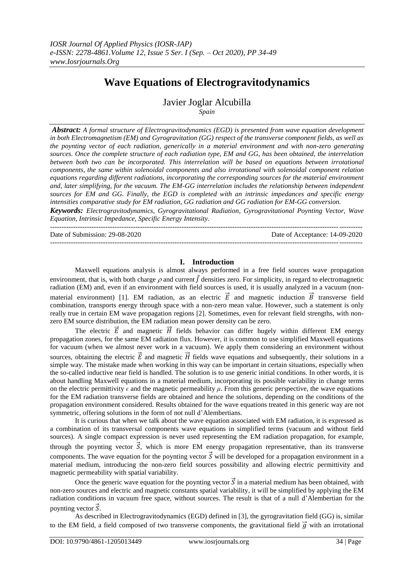# **Wave Equations of Electrogravitodynamics**

Javier Joglar Alcubilla

*Spain*

*Abstract: A formal structure of Electrogravitodynamics (EGD) is presented from wave equation development in both Electromagnetism (EM) and Gyrogravitation (GG) respect of the transverse component fields, as well as the poynting vector of each radiation, generically in a material environment and with non-zero generating sources. Once the complete structure of each radiation type, EM and GG, has been obtained, the interrelation between both two can be incorporated. This interrelation will be based on equations between irrotational components, the same within solenoidal components and also irrotational with solenoidal component relation equations regarding different radiations, incorporating the corresponding sources for the material environment*  and, later simplifying, for the vacuum. The EM-GG interrelation includes the relationship between independent *sources for EM and GG. Finally, the EGD is completed with an intrinsic impedances and specific energy intensities comparative study for EM radiation, GG radiation and GG radiation for EM-GG conversion.*

*Keywords: Electrogravitodynamics, Gyrogravitational Radiation, Gyrogravitational Poynting Vector, Wave Equation, Intrinsic Impedance, Specific Energy Intensity.*

---------------------------------------------------------------------------------------------------------------------------------------

Date of Submission: 29-08-2020 Date of Acceptance: 14-09-2020

#### **I. Introduction**

---------------------------------------------------------------------------------------------------------------------------------------

Maxwell equations analysis is almost always performed in a free field sources wave propagation environment, that is, with both charge  $\rho$  and current  $\vec{l}$  densities zero. For simplicity, in regard to electromagnetic radiation (EM) and, even if an environment with field sources is used, it is usually analyzed in a vacuum (nonmaterial environment) [1]. EM radiation, as an electric  $\vec{E}$  and magnetic induction  $\vec{B}$  transverse field combination, transports energy through space with a non-zero mean value. However, such a statement is only really true in certain EM wave propagation regions [2]. Sometimes, even for relevant field strengths, with nonzero EM source distribution, the EM radiation mean power density can be zero.

The electric  $\vec{E}$  and magnetic  $\vec{H}$  fields behavior can differ hugely within different EM energy propagation zones, for the same EM radiation flux. However, it is common to use simplified Maxwell equations for vacuum (when we almost never work in a vacuum). We apply them considering an environment without sources, obtaining the electric  $\vec{E}$  and magnetic  $\vec{H}$  fields wave equations and subsequently, their solutions in a simple way. The mistake made when working in this way can be important in certain situations, especially when the so-called inductive near field is handled. The solution is to use generic initial conditions. In other words, it is about handling Maxwell equations in a material medium, incorporating its possible variability in change terms on the electric permittivity  $\epsilon$  and the magnetic permeability  $\mu$ . From this generic perspective, the wave equations for the EM radiation transverse fields are obtained and hence the solutions, depending on the conditions of the propagation environment considered. Results obtained for the wave equations treated in this generic way are not symmetric, offering solutions in the form of not null d'Alembertians.

It is curious that when we talk about the wave equation associated with EM radiation, it is expressed as a combination of its transversal components wave equations in simplified terms (vacuum and without field sources). A single compact expression is never used representing the EM radiation propagation, for example, through the poynting vector  $\vec{S}$ , which is more EM energy propagation representative, than its transverse components. The wave equation for the poynting vector  $\vec{S}$  will be developed for a propagation environment in a material medium, introducing the non-zero field sources possibility and allowing electric permittivity and magnetic permeability with spatial variability.

Once the generic wave equation for the poynting vector  $\vec{S}$  in a material medium has been obtained, with non-zero sources and electric and magnetic constants spatial variability, it will be simplified by applying the EM radiation conditions in vacuum free space, without sources. The result is that of a null d'Alembertian for the poynting vector  $\vec{S}$ .

As described in Electrogravitodynamics (EGD) defined in [3], the gyrogravitation field (GG) is, similar to the EM field, a field composed of two transverse components, the gravitational field  $\vec{g}$  with an irrotational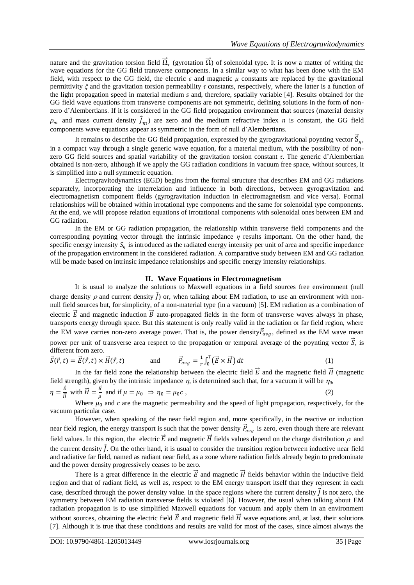nature and the gravitation torsion field  $\vec{\Omega}_r$  (gyrotation  $\vec{\Omega}$ ) of solenoidal type. It is now a matter of writing the wave equations for the GG field transverse components. In a similar way to what has been done with the EM field, with respect to the GG field, the electric  $\epsilon$  and magnetic  $\mu$  constants are replaced by the gravitational permittivity *ξ* and the gravitation torsion permeability *τ* constants, respectively, where the latter is a function of the light propagation speed in material medium *s* and, therefore, spatially variable [4]. Results obtained for the GG field wave equations from transverse components are not symmetric, defining solutions in the form of nonzero d'Alembertians. If it is considered in the GG field propagation environment that sources (material density  $\rho_m$  and mass current density  $\vec{J}_m$ ) are zero and the medium refractive index *n* is constant, the GG field components wave equations appear as symmetric in the form of null d'Alembertians.

It remains to describe the GG field propagation, expressed by the gyrogravitational poynting vector  $\vec{S}_g$ , in a compact way through a single generic wave equation, for a material medium, with the possibility of nonzero GG field sources and spatial variability of the gravitation torsion constant *τ*. The generic d'Alembertian obtained is non-zero, although if we apply the GG radiation conditions in vacuum free space, without sources, it is simplified into a null symmetric equation.

Electrogravitodynamics (EGD) begins from the formal structure that describes EM and GG radiations separately, incorporating the interrelation and influence in both directions, between gyrogravitation and electromagnetism component fields (gyrogravitation induction in electromagnetism and vice versa). Formal relationships will be obtained within irrotational type components and the same for solenoidal type components. At the end, we will propose relation equations of irrotational components with solenoidal ones between EM and GG radiation.

In the EM or GG radiation propagation, the relationship within transverse field components and the corresponding poynting vector through the intrinsic impedance *η* results important. On the other hand, the specific energy intensity  $S_n$  is introduced as the radiated energy intensity per unit of area and specific impedance of the propagation environment in the considered radiation. A comparative study between EM and GG radiation will be made based on intrinsic impedance relationships and specific energy intensity relationships.

#### **II. Wave Equations in Electromagnetism**

It is usual to analyze the solutions to Maxwell equations in a field sources free environment (null charge density  $\rho$  and current density  $\vec{J}$  or, when talking about EM radiation, to use an environment with nonnull field sources but, for simplicity, of a non-material type (in a vacuum) [5]. EM radiation as a combination of electric  $\vec{E}$  and magnetic induction  $\vec{B}$  auto-propagated fields in the form of transverse waves always in phase, transports energy through space. But this statement is only really valid in the radiation or far field region, where the EM wave carries non-zero average power. That is, the power density  $\vec{P}_{avg}$ , defined as the EM wave mean power per unit of transverse area respect to the propagation or temporal average of the poynting vector  $\vec{S}$ , is different from zero.

$$
\vec{S}(\vec{r},t) = \vec{E}(\vec{r},t) \times \vec{H}(\vec{r},t) \qquad \text{and} \qquad \vec{P}_{avg} = \frac{1}{T} \int_0^T (\vec{E} \times \vec{H}) dt \qquad (1)
$$

In the far field zone the relationship between the electric field  $\vec{E}$  and the magnetic field  $\vec{H}$  (magnetic field strength), given by the intrinsic impedance  $\eta$ , is determined such that, for a vacuum it will be  $\eta_0$ ,

 $\eta=\frac{\vec{E}}{\vec{n}}$  $\frac{\vec{E}}{\vec{H}}$  with  $\vec{H} = \frac{\vec{B}}{\mu}$  $\frac{\partial}{\partial \mu}$  and if  $\mu = \mu_0 \Rightarrow \eta_0 = \mu_0 c$ , (2)

Where  $\mu_0$  and *c* are the magnetic permeability and the speed of light propagation, respectively, for the vacuum particular case.

However, when speaking of the near field region and, more specifically, in the reactive or induction near field region, the energy transport is such that the power density  $\vec{P}_{avg}$  is zero, even though there are relevant field values. In this region, the electric  $\vec{E}$  and magnetic  $\vec{H}$  fields values depend on the charge distribution  $\rho$  and the current density  $\vec{l}$ . On the other hand, it is usual to consider the transition region between inductive near field and radiative far field, named as radiant near field, as a zone where radiation fields already begin to predominate and the power density progressively ceases to be zero.

There is a great difference in the electric  $\vec{E}$  and magnetic  $\vec{H}$  fields behavior within the inductive field region and that of radiant field, as well as, respect to the EM energy transport itself that they represent in each case, described through the power density value. In the space regions where the current density  $\vec{j}$  is not zero, the symmetry between EM radiation transverse fields is violated [6]. However, the usual when talking about EM radiation propagation is to use simplified Maxwell equations for vacuum and apply them in an environment without sources, obtaining the electric field  $\vec{E}$  and magnetic field  $\vec{H}$  wave equations and, at last, their solutions [7]. Although it is true that these conditions and results are valid for most of the cases, since almost always the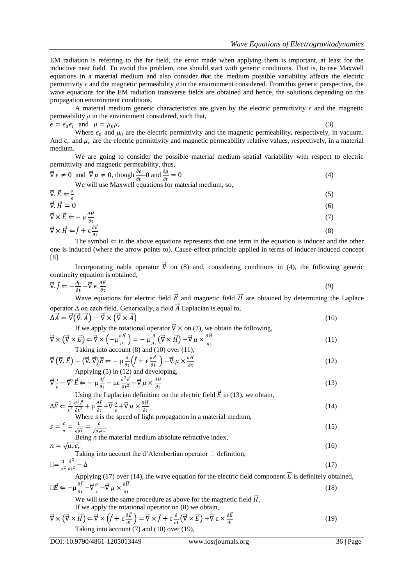EM radiation is referring to the far field, the error made when applying them is important, at least for the inductive near field. To avoid this problem, one should start with generic conditions. That is, to use Maxwell equations in a material medium and also consider that the medium possible variability affects the electric permittivity  $\epsilon$  and the magnetic permeability  $\mu$  in the environment considered. From this generic perspective, the wave equations for the EM radiation transverse fields are obtained and hence, the solutions depending on the propagation environment conditions.

A material medium generic characteristics are given by the electric permittivity  $\epsilon$  and the magnetic permeability  $\mu$  in the environment considered, such that,

 $\epsilon = \epsilon_0 \epsilon_r$  and  $\mu = \mu_0 \mu_r$ (3) Where  $\epsilon_0$  and  $\mu_0$  are the electric permittivity and the magnetic permeability, respectively, in vacuum. And  $\epsilon_r$  and  $\mu_r$  are the electric permittivity and magnetic permeability relative values, respectively, in a material medium.

We are going to consider the possible material medium spatial variability with respect to electric permittivity and magnetic permeability, thus,

| $\vec{\nabla} \epsilon \neq 0$ and $\vec{\nabla} \mu \neq 0$ , though $\frac{\partial \epsilon}{\partial t} = 0$ and $\frac{\partial \mu}{\partial t} = 0$ |  |
|------------------------------------------------------------------------------------------------------------------------------------------------------------|--|
| We will use Maxwell equations for material medium, so,                                                                                                     |  |

$$
\vec{\nabla} \cdot \vec{E} \Leftarrow \frac{\rho}{\epsilon} \tag{5}
$$
\n
$$
\vec{\nabla} \cdot \vec{H} = 0 \tag{6}
$$

$$
\vec{\nabla} \cdot \vec{H} = 0 \tag{6}
$$
\n
$$
\vec{\nabla} \times \vec{E} \leftarrow -\mu \frac{\partial \vec{H}}{\partial t} \tag{7}
$$

$$
\vec{\nabla} \times \vec{H} \Leftarrow \vec{f} + \epsilon \frac{\partial \vec{E}}{\partial t}
$$
\n(8)

The symbol  $\Leftarrow$  in the above equations represents that one term in the equation is inducer and the other one is induced (where the arrow points to). Cause-effect principle applied in terms of inducer-induced concept [8].

Incorporating nabla operator  $\vec{\nabla}$  on (8) and, considering conditions in (4), the following generic continuity equation is obtained,

$$
\vec{\nabla}.\vec{f} \leftarrow -\frac{\partial \rho}{\partial t} - \vec{\nabla} \epsilon \cdot \frac{\partial \vec{E}}{\partial t}
$$
\n(9)

Wave equations for electric field  $\vec{E}$  and magnetic field  $\vec{H}$  are obtained by determining the Laplace operator  $\Delta$  on each field. Generically, a field  $\vec{A}$  Laplacian is equal to,

$$
\Delta \vec{A} = \vec{\nabla} (\vec{\nabla} \cdot \vec{A}) - \vec{\nabla} \times (\vec{\nabla} \times \vec{A})
$$
  
If we apply the rotational operator  $\vec{\nabla} \times$  on (7), we obtain the following. (10)

$$
\vec{\nabla} \times (\vec{\nabla} \times \vec{E}) \leftarrow \vec{\nabla} \times \left( -\mu \frac{\partial \vec{H}}{\partial t} \right) = -\mu \frac{\partial}{\partial t} (\vec{\nabla} \times \vec{H}) - \vec{\nabla} \mu \times \frac{\partial \vec{H}}{\partial t}
$$
\n(11)  
Taking into account (8) and (10) over (11).

$$
\vec{\nabla} (\vec{\nabla} \cdot \vec{E}) - (\vec{\nabla} \cdot \vec{\nabla}) \vec{E} \Leftarrow -\mu \frac{\partial}{\partial t} (\vec{J} + \epsilon \frac{\partial \vec{E}}{\partial t}) - \vec{\nabla} \mu \times \frac{\partial \vec{H}}{\partial t}
$$
\n(12)

\nApplying (5) in (12) and developing,

$$
\vec{\nabla} \frac{\rho}{\epsilon} - \vec{\nabla}^2 \vec{E} \Leftarrow -\mu \frac{\partial \vec{J}}{\partial t} - \mu \epsilon \frac{\partial^2 \vec{E}}{\partial t^2} - \vec{\nabla} \mu \times \frac{\partial \vec{H}}{\partial t}
$$
\n(13)

Using the Laplacian definition on the electric field  $\vec{E}$  in (13), we obtain,

$$
\Delta \vec{E} \leftarrow \frac{1}{s^2} \frac{\partial^2 \vec{E}}{\partial t^2} + \mu \frac{\partial \vec{f}}{\partial t} + \vec{\nabla} \frac{\rho}{\epsilon} + \vec{\nabla} \mu \times \frac{\partial \vec{H}}{\partial t}
$$
  
Where *s* is the speed of light propagation in a material medium, (14)

where *s* is the speed of light propagation in a material medium,  

$$
s = \frac{c}{n} = \frac{1}{\sqrt{\mu}} = \frac{c}{\sqrt{\mu_f \epsilon_f}}
$$
(15)

Being *n* the material medium absolute refractive index,  
\n
$$
n = \sqrt{\mu_r \epsilon_r}
$$
\n(16)

Taking into account the d'Alembertian operator 
$$
\Box
$$
 definition,  

$$
\Box = \frac{1}{s^2} \frac{\partial^2}{\partial t^2} - \Delta
$$
 (17)

Applying (17) over (14), the wave equation for the electric field component  $\vec{E}$  is definitely obtained,  $\Box \vec{E} \Leftarrow -\mu \frac{\partial \vec{f}}{\partial t}$  $\frac{\partial f}{\partial t} - \vec{\nabla} \frac{\rho}{\epsilon}$  $\frac{\rho}{\epsilon} - \vec{\nabla} \mu \times \frac{\partial \vec{H}}{\partial t}$ ∂t (18)

We will use the same procedure as above for the magnetic field  $\vec{H}$ .

If we apply the rotational operator on (8) we obtain,

$$
\vec{\nabla} \times (\vec{\nabla} \times \vec{H}) \Leftarrow \vec{\nabla} \times (\vec{J} + \epsilon \frac{\partial \vec{E}}{\partial t}) = \vec{\nabla} \times \vec{J} + \epsilon \frac{\partial}{\partial t} (\vec{\nabla} \times \vec{E}) + \vec{\nabla} \epsilon \times \frac{\partial \vec{E}}{\partial t}
$$
\nTaking into account (7) and (10) over (19),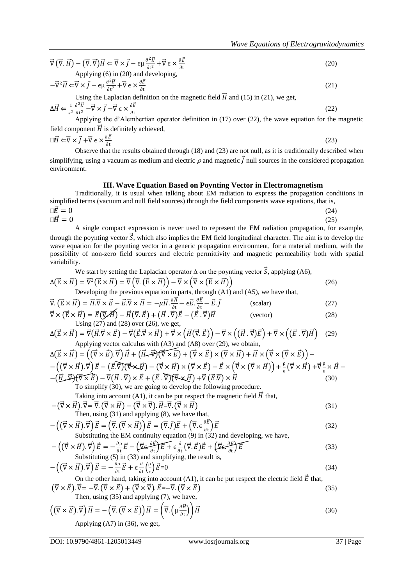(20)

$$
\vec{\nabla} (\vec{\nabla} \cdot \vec{H}) - (\vec{\nabla} \cdot \vec{\nabla}) \vec{H} \Leftarrow \vec{\nabla} \times \vec{J} - \epsilon \mu \frac{\partial^2 \vec{H}}{\partial t^2} + \vec{\nabla} \epsilon \times \frac{\partial \vec{E}}{\partial t}
$$
  
Applying (6) in (20) and developing,

$$
-\vec{\nabla}^2 \vec{H} \Leftarrow \vec{\nabla} \times \vec{J} - \epsilon \mu \frac{\partial^2 \vec{H}}{\partial t^2} + \vec{\nabla} \epsilon \times \frac{\partial \vec{E}}{\partial t}
$$
\nUsing the Laplacian definition on the magnetic field  $\vec{H}$  and (15) in (21), we get,

\n
$$
(21)
$$

$$
\Delta \vec{H} \Leftarrow \frac{1}{s^2} \frac{\partial^2 \vec{H}}{\partial t^2} - \vec{\nabla} \times \vec{J} - \vec{\nabla} \in \times \frac{\partial \vec{E}}{\partial t}
$$
(22)

 $\frac{\partial t^2}{\partial t^2}$  or  $\frac{\partial t}{\partial t}$  at  $\frac{\partial t}{\partial t}$  at  $\frac{\partial t}{\partial t}$  are  $\frac{\partial t}{\partial t}$  and  $\frac{\partial t}{\partial t}$  are  $\frac{\partial t}{\partial t}$  and  $\frac{\partial t}{\partial t}$  are  $\frac{\partial t}{\partial t}$  and  $\frac{\partial t}{\partial t}$  are  $\frac{\partial t}{\partial t}$  and  $\frac{\partial t}{\partial t}$  are  $\frac{\partial t}{\partial t}$  and field component  $\vec{H}$  is definitely achieved,

$$
\Box \vec{H} \Leftarrow \vec{\nabla} \times \vec{J} + \vec{\nabla} \in \times \frac{\partial \vec{E}}{\partial t}
$$
\n(23)

Observe that the results obtained through (18) and (23) are not null, as it is traditionally described when simplifying, using a vacuum as medium and electric  $\rho$  and magnetic  $\vec{l}$  null sources in the considered propagation environment.

#### **III. Wave Equation Based on Poynting Vector in Electromagnetism**

Traditionally, it is usual when talking about EM radiation to express the propagation conditions in simplified terms (vacuum and null field sources) through the field components wave equations, that is,

$$
\Box \vec{E} = 0 \tag{24}
$$
\n
$$
\Box \vec{F} = 0 \tag{25}
$$

A single compact expression is never used to represent the EM radiation propagation, for example, through the poynting vector  $\vec{S}$ , which also implies the EM field longitudinal character. The aim is to develop the wave equation for the poynting vector in a generic propagation environment, for a material medium, with the possibility of non-zero field sources and electric permittivity and magnetic permeability both with spatial variability.

We start by setting the Laplacian operator 
$$
\Delta
$$
 on the pointing vector  $\vec{S}$ , applying (A6),  
\n
$$
\Delta(\vec{E} \times \vec{H}) = \vec{\nabla}^2 (\vec{E} \times \vec{H}) = \vec{\nabla} (\vec{\nabla} \cdot (\vec{E} \times \vec{H})) - \vec{\nabla} \times (\vec{\nabla} \times (\vec{E} \times \vec{H}))
$$
\n(26)

Developing the previous equation in parts, through (A1) and (A5), we have that,

$$
\vec{\nabla} \cdot (\vec{E} \times \vec{H}) = \vec{H} \cdot \vec{\nabla} \times \vec{E} - \vec{E} \cdot \vec{\nabla} \times \vec{H} = -\mu \vec{H} \cdot \frac{\partial \vec{H}}{\partial t} - \epsilon \vec{E} \cdot \frac{\partial \vec{E}}{\partial t} - \vec{E} \cdot \vec{J}
$$
 (scalar) (27)

$$
\vec{\nabla} \times (\vec{\mathbf{E}} \times \vec{H}) = \vec{E}(\vec{\nabla} \vec{A}) - \vec{H}(\vec{\nabla} \cdot \vec{E}) + (\vec{H} \cdot \vec{\nabla})\vec{E} - (\vec{E} \cdot \vec{\nabla})\vec{H}
$$
 (vector)  
Using (27) and (28) over (26), we get, (26)

$$
\Delta(\vec{E} \times \vec{H}) = \vec{\nabla}(\vec{H} \cdot \vec{\nabla} \times \vec{E}) - \vec{\nabla}(\vec{E} \cdot \vec{\nabla} \times \vec{H}) + \vec{\nabla} \times (\vec{H}(\vec{\nabla} \cdot \vec{E})) - \vec{\nabla} \times ((\vec{H} \cdot \vec{\nabla})\vec{E}) + \vec{\nabla} \times ((\vec{E} \cdot \vec{\nabla})\vec{H})
$$
 (29)  
Applying vector calculus with (A3) and (A8) over (29), we obtain,

$$
\Delta(\vec{E} \times \vec{H}) = ((\vec{\nabla} \times \vec{E}) \cdot \vec{\nabla}) \vec{H} + (\vec{H} \cdot \vec{\nabla})(\vec{\nabla} \times \vec{E}) + (\vec{\nabla} \times \vec{E}) \times (\vec{\nabla} \times \vec{H}) + \vec{H} \times (\vec{\nabla} \times (\vec{\nabla} \times \vec{E})) - - ((\vec{\nabla} \times \vec{H}) \cdot \vec{\nabla}) \vec{E} - (\vec{E} \cdot \vec{\nabla})(\vec{\nabla} \times \vec{H}) - (\vec{\nabla} \times \vec{H}) \times (\vec{\nabla} \times \vec{E}) - \vec{E} \times (\vec{\nabla} \times (\vec{\nabla} \times \vec{H})) + \frac{\rho}{\epsilon} (\vec{\nabla} \times \vec{H}) + \vec{\nabla} \frac{\rho}{\epsilon} \times \vec{H} - - (\vec{H} \cdot \vec{\nabla})(\vec{\nabla} \times \vec{E}) - \vec{\nabla} (\vec{H} \cdot \vec{\nabla}) \times \vec{E} + (\vec{E} \cdot \vec{\nabla})(\vec{\nabla} \times \vec{H}) + \vec{\nabla} (\vec{E} \cdot \vec{\nabla}) \times \vec{H}
$$
\n(30)

Taking into account (A1), it can be put respect the magnetic field  $H$  that,

$$
-(\vec{\nabla} \times \vec{H}) \cdot \vec{\nabla} = \vec{\nabla} \cdot (\vec{\nabla} \times \vec{H}) - (\vec{\nabla} \times \vec{\nabla}) \cdot \vec{H} = \vec{\nabla} \cdot (\vec{\nabla} \times \vec{H})
$$
\nThen using (31) and applying (8), we have that

$$
-\left((\vec{\nabla}\times\vec{H})\cdot\vec{\nabla}\right)\vec{E} = \left(\vec{\nabla}\cdot(\vec{\nabla}\times\vec{H})\right)\vec{E} = (\vec{\nabla}\cdot\vec{J})\vec{E} + \left(\vec{\nabla}\cdot\vec{e}\frac{\partial\vec{E}}{\partial t}\right)\vec{E}
$$
(32)

Substituting the EM continuity equation (9) in (32) and developing, we have,

$$
-\left(\left(\vec{\nabla}\times\vec{H}\right).\vec{\nabla}\right)\vec{E} = -\frac{\partial \rho}{\partial t}\vec{E} - \left(\vec{\nabla}\epsilon.\frac{\partial \vec{E}}{\partial t}\right)\vec{E} + \epsilon\frac{\partial}{\partial t}\left(\vec{\nabla}.\vec{E}\right)\vec{E} + \left(\vec{\nabla}\epsilon.\frac{\partial \vec{E}}{\partial t}\right)\vec{E}
$$
\nSubstituting (5) in (33) and simplifying, the result is,

$$
-\left(\left(\vec{\nabla}\times\vec{H}\right).\vec{\nabla}\right)\vec{E} = -\frac{\partial\rho}{\partial t}\vec{E} + \epsilon\frac{\partial}{\partial t}\left(\frac{\rho}{\epsilon}\right)\vec{E} = 0\tag{34}
$$

On the other hand, taking into account (A1), it can be put respect the electric field  $\vec{E}$  that,  $(\vec{\nabla} \times \vec{E}) \cdot \vec{\nabla} = -\vec{\nabla} \cdot (\vec{\nabla} \times \vec{E}) + (\vec{\nabla} \times \vec{\nabla}) \cdot \vec{E} = -\vec{\nabla} \cdot (\vec{\nabla} \times \vec{E})$  (35) Then, using  $(35)$  and applying  $(7)$ , we have

Then, using (35) and applying (7), we have,  
\n
$$
\left( (\vec{\nabla} \times \vec{E}) . \vec{\nabla} \right) \vec{H} = -\left( \vec{\nabla} . (\vec{\nabla} \times \vec{E}) \right) \vec{H} = \left( \vec{\nabla} . \left( \mu \frac{\partial \vec{H}}{\partial t} \right) \right) \vec{H}
$$
\n(36)

Applying (A7) in (36), we get,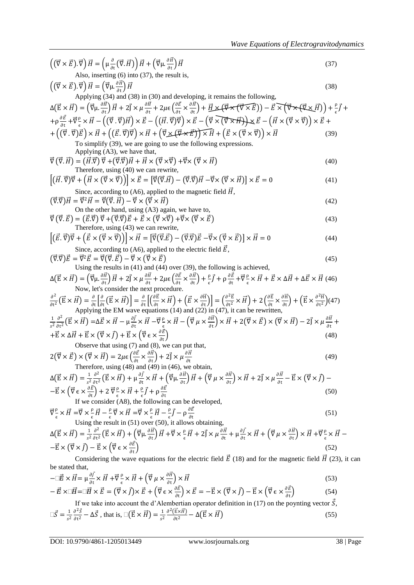$$
\left( (\vec{\nabla} \times \vec{E}) \cdot \vec{v} \right) \vec{H} = \left( \mu \frac{\partial}{\partial x} (\vec{r}, \vec{H}) \right) \vec{H} + \left( \vec{\nabla} \mu \frac{\partial \vec{H}}{\partial x} \right) \vec{H}
$$
\n
$$
\left( (\vec{\nabla} \times \vec{E}) \cdot \vec{\nabla} \right) \vec{H} = \left( \vec{\nabla} \mu \frac{\partial \vec{H}}{\partial y} \right) \vec{H} = \left( \vec{\nabla} \mu \frac{\partial \vec{H}}{\partial z} \right) \vec{H} + \left( \vec{\nabla} \mu \frac{\partial \vec{H}}{\partial z} \right) \vec{H} = 2 \left( \mu \left( \frac{\partial \vec{K}}{\partial x} \right) \vec{H} + \left( \vec{\nabla} \mu \frac{\partial \vec{H}}{\partial x} \right) \vec{H} + \left( \vec{\nabla} \mu \frac{\partial \vec{H}}{\partial y} \right) \vec{H} + \left( \vec{\nabla} \mu \frac{\partial \vec{H}}{\partial x} \right) \vec{H} + \left( \vec{\nabla} \mu \frac{\partial \vec{H}}{\partial y} \right) \vec{H} = \left( \vec{\nabla} \mu \frac{\partial \vec{H}}{\partial x} \right) \vec{H} + \left( \vec{\nabla} \mu \frac{\partial \vec{H}}{\partial y} \right) \vec{H} + \left( \vec{\nabla} \mu \frac{\partial \vec{H}}{\partial x} \right) \vec{H} + \left( \vec{\nabla} \mu \frac{\partial \vec{H}}{\partial y} \right) \vec{H} + \left( \vec{\nabla} \mu \frac{\partial \vec{H}}{\partial y} \right) \vec{H} + \left( \vec{\nabla} \mu \frac{\partial \vec{H}}{\partial y} \right) \vec{H} + \left( \vec{\nabla} \mu \frac{\partial \vec{H}}{\partial y} \right) \vec{H} + \left( \vec{\nabla} \mu \frac{\partial \vec{H}}{\partial y} \right) \vec{H} + \left( \vec{\nabla} \mu \frac{\partial \vec{H}}{\partial y} \right) \vec{H} + \left( \vec{\nabla} \mu \frac{\partial \vec{H}}{\partial y} \right) \vec{H} + \left( \vec{\nab
$$

$$
-\vec{E} \times \vec{v} = \vec{H} \times \vec{E} = (\vec{\nabla} \times \vec{f}) \times \vec{E} + (\vec{\nabla} \in \vec{B} \times \vec{v}) \times \vec{E} = -\vec{E} \times (\vec{\nabla} \times \vec{f}) - \vec{E} \times (\vec{\nabla} \in \vec{B} \times \vec{v})
$$
\n
$$
\text{If we take into account the d'Alembertian operator definition in (17) on the poynting vector } \vec{S},
$$

 $\square \vec{S} = \frac{1}{3}$  $s^2$  $\partial^2 \vec{S}$  $\frac{\partial^2 \vec{S}}{\partial t^2}$  –  $\Delta \vec{S}$ , that is,  $\square (\vec{E} \times \vec{H}) = \frac{1}{s^2}$  $s^2$  $\partial^{\,2}(\vec{\rm E}\times\vec{\rm H}$  $\frac{dE\times H}{dt^2} - \Delta(\vec{E}\times\vec{H})$  (55)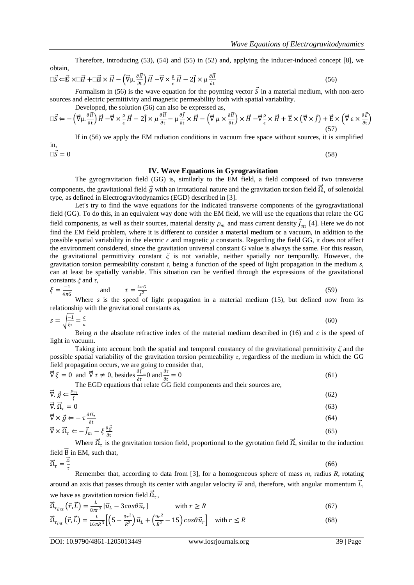Therefore, introducing (53), (54) and (55) in (52) and, applying the inducer-induced concept [8], we obtain,

$$
\Box \vec{S} \Leftarrow \vec{E} \times \Box \vec{H} + \Box \vec{E} \times \vec{H} - \left( \vec{\nabla} \mu \cdot \frac{\partial \vec{H}}{\partial t} \right) \vec{H} - \vec{\nabla} \times \frac{\rho}{\epsilon} \vec{H} - 2 \vec{J} \times \mu \frac{\partial \vec{H}}{\partial t}
$$
(56)

Formalism in (56) is the wave equation for the poynting vector  $\vec{S}$  in a material medium, with non-zero sources and electric permittivity and magnetic permeability both with spatial variability. Developed, the solution  $(56)$  can also be expressed as

$$
\Box \vec{S} \leftarrow -\left(\vec{\nabla}\mu \cdot \frac{\partial \vec{H}}{\partial t}\right) \vec{H} - \vec{\nabla} \times \frac{\rho}{\epsilon} \vec{H} - 2\vec{j} \times \mu \frac{\partial \vec{H}}{\partial t} - \mu \frac{\partial \vec{f}}{\partial t} \times \vec{H} - \left(\vec{\nabla}\mu \times \frac{\partial \vec{H}}{\partial t}\right) \times \vec{H} - \vec{\nabla} \frac{\rho}{\epsilon} \times \vec{H} + \vec{E} \times \left(\vec{\nabla} \times \vec{f}\right) + \vec{E} \times \left(\vec{\nabla} \epsilon \times \frac{\partial \vec{E}}{\partial t}\right)
$$
\n(57)

If in (56) we apply the EM radiation conditions in vacuum free space without sources, it is simplified in,  $\Box \vec{S} = 0$  (58)

#### **IV. Wave Equations in Gyrogravitation**

The gyrogravitation field (GG) is, similarly to the EM field, a field composed of two transverse components, the gravitational field  $\vec{g}$  with an irrotational nature and the gravitation torsion field  $\vec{\Omega}_t$  of solenoidal type, as defined in Electrogravitodynamics (EGD) described in [3].

Let's try to find the wave equations for the indicated transverse components of the gyrogravitational field (GG). To do this, in an equivalent way done with the EM field, we will use the equations that relate the GG field components, as well as their sources, material density  $\rho_m$  and mass current density  $\vec{J}_m$  [4]. Here we do not find the EM field problem, where it is different to consider a material medium or a vacuum, in addition to the possible spatial variability in the electric *ϵ* and magnetic *μ* constants. Regarding the field GG, it does not affect the environment considered, since the gravitation universal constant *G* value is always the same. For this reason, the gravitational permittivity constant *ξ* is not variable, neither spatially nor temporally. However, the gravitation torsion permeability constant *τ*, being a function of the speed of light propagation in the medium *s*, can at least be spatially variable. This situation can be verified through the expressions of the gravitational constants *ξ* and *τ*,

$$
\xi = \frac{-1}{4\pi G} \quad \text{and} \quad \tau = \frac{4\pi G}{s^2} \tag{59}
$$

Where *s* is the speed of light propagation in a material medium (15), but defined now from its relationship with the gravitational constants as,

$$
s = \sqrt{\frac{-1}{\xi \tau}} = \frac{c}{n}
$$
(60)

Being *n* the absolute refractive index of the material medium described in (16) and *c* is the speed of light in vacuum.

Taking into account both the spatial and temporal constancy of the gravitational permittivity *ξ* and the possible spatial variability of the gravitation torsion permeability *τ*, regardless of the medium in which the GG field propagation occurs, we are going to consider that,

$$
\vec{\nabla}\xi = 0 \text{ and } \vec{\nabla}\tau \neq 0 \text{, besides } \frac{\partial \xi}{\partial t} = 0 \text{ and } \frac{\partial \tau}{\partial t} = 0 \tag{61}
$$

The EGD equations that relate GG field components and their sources are,

$$
\vec{\nabla} \cdot \vec{g} \leftarrow \frac{\rho_m}{\xi} \tag{62}
$$

$$
\vec{\nabla} \cdot \vec{\Omega}_{\tau} = 0 \tag{63}
$$

$$
\vec{\nabla} \times \vec{g} \leftarrow -\tau \frac{\partial \vec{\Omega}_{\tau}}{\partial t} \tag{64}
$$

$$
\vec{\nabla} \times \vec{\Omega}_\tau \Leftarrow -\vec{f}_m - \xi \frac{\partial \vec{g}}{\partial t} \tag{65}
$$

Where  $\vec{\Omega}_\tau$  is the gravitation torsion field, proportional to the gyrotation field  $\vec{\Omega}$ , similar to the induction field  $\overrightarrow{B}$  in EM, such that,

$$
\vec{\Omega}_{\tau} = \frac{\vec{\Omega}}{\tau}
$$

(66)

Remember that, according to data from [3], for a homogeneous sphere of mass *m*, radius *R*, rotating around an axis that passes through its center with angular velocity  $\vec{w}$  and, therefore, with angular momentum  $\vec{L}$ , we have as gravitation torsion field  $\overline{\Omega}_\tau$ ,

$$
\vec{\Omega}_{\tau_{Ext}}\left(\vec{r}, \vec{L}\right) = \frac{L}{8\pi r^3} \left[\vec{u}_L - 3\cos\theta \vec{u}_r\right] \qquad \text{with } r \ge R \tag{67}
$$

$$
\vec{\Omega}_{\tau_{Int}}(\vec{r},\vec{L}) = \frac{L}{16\pi R^3} \Big[ \Big(5 - \frac{3r^2}{R^2}\Big) \vec{u}_L + \Big(\frac{9r^2}{R^2} - 15\Big) \cos\theta \vec{u}_r \Big] \quad \text{with } r \le R \tag{68}
$$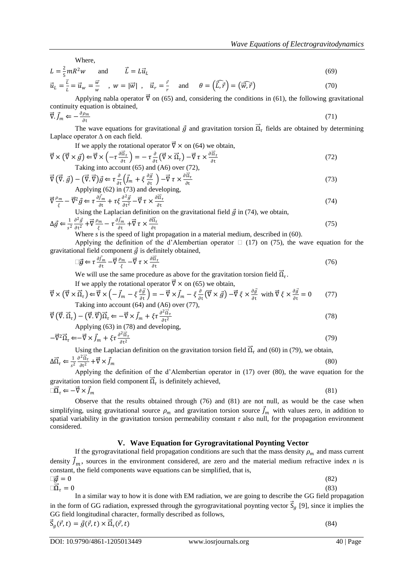Where,

$$
L = \frac{2}{5} mR^2 w \qquad \text{and} \qquad \vec{L} = L\vec{u}_L \tag{69}
$$
\n
$$
\vec{u} = \frac{\vec{k}}{2} - \vec{u} = \frac{\vec{w}}{2} \qquad \text{and} \qquad \vec{d} = \frac{\vec{r}}{2} \qquad \text{and} \qquad \theta = (\widehat{\vec{u}} \cdot \vec{a}) - (\widehat{\vec{u}} \cdot \vec{a}) \tag{70}
$$

$$
\vec{u}_L = \frac{\vec{L}}{L} = \vec{u}_w = \frac{\vec{w}}{w} \quad , \quad w = |\vec{w}| \quad , \quad \vec{u}_r = \frac{\vec{r}}{r} \quad \text{and} \quad \theta = (\widehat{\vec{L}, \vec{r}}) = (\widehat{\vec{w}, \vec{r}}) \tag{70}
$$

Applying nabla operator  $\vec{v}$  on (65) and, considering the conditions in (61), the following gravitational continuity equation is obtained,

$$
\vec{\nabla} \cdot \vec{J}_m \Leftarrow -\frac{\partial \rho_m}{\partial t} \tag{71}
$$

The wave equations for gravitational  $\vec{g}$  and gravitation torsion  $\vec{\Omega}_{\tau}$  fields are obtained by determining Laplace operator ∆ on each field.

If we apply the rotational operator  $\vec{\nabla} \times$  on (64) we obtain,

$$
\vec{\nabla} \times (\vec{\nabla} \times \vec{g}) \leftarrow \vec{\nabla} \times \left( -\tau \frac{\partial \vec{\Omega}_{\tau}}{\partial t} \right) = -\tau \frac{\partial}{\partial t} (\vec{\nabla} \times \vec{\Omega}_{\tau}) - \vec{\nabla} \tau \times \frac{\partial \vec{\Omega}_{\tau}}{\partial t}
$$
\nTaking into account (65) and (A6) over (72),

\n
$$
(72)
$$

$$
\vec{\nabla}(\vec{\nabla}.\vec{g}) - (\vec{\nabla}.\vec{\nabla})\vec{g} \leftarrow \tau \frac{\partial}{\partial t} \left( \vec{J}_m + \xi \frac{\partial \vec{g}}{\partial t} \right) - \vec{\nabla} \tau \times \frac{\partial \vec{a}_\tau}{\partial t}
$$
\n(73)

\nApplying (62) in (73) and developing,

$$
\nabla \frac{\rho_m}{\xi} - \vec{\nabla}^2 \vec{g} \in \tau \frac{\partial \vec{f}_m}{\partial t} + \tau \xi \frac{\partial^2 \vec{g}}{\partial t^2} - \vec{\nabla} \tau \times \frac{\partial \vec{\Omega}_{\tau}}{\partial t}
$$
(74)

Using the Laplacian definition on the gravitational field  $\vec{g}$  in (74), we obtain,

$$
\Delta \vec{g} \Leftarrow \frac{1}{s^2} \frac{\partial^2 \vec{g}}{\partial t^2} + \vec{\nabla} \frac{\rho_m}{\xi} - \tau \frac{\partial \vec{f}_m}{\partial t} + \vec{\nabla} \tau \times \frac{\partial \vec{\Omega}_{\tau}}{\partial t}
$$
(75)

Where *s* is the speed of light propagation in a material medium, described in (60).

Applying the definition of the d'Alembertian operator  $\Box$  (17) on (75), the wave equation for the gravitational field component  $\vec{g}$  is definitely obtained,

$$
\Box \vec{g} \Leftarrow \tau \frac{\partial \vec{f}_m}{\partial t} - \vec{\nabla} \frac{\rho_m}{\xi} - \vec{\nabla} \tau \times \frac{\partial \vec{\Omega}_{\tau}}{\partial t}
$$
\n(76)

We will use the same procedure as above for the gravitation torsion field  $\vec{\Omega}_t$ .

If we apply the rotational operator  $\vec{\nabla} \times$  on (65) we obtain,

$$
\vec{\nabla} \times (\vec{\nabla} \times \vec{\Omega}_{\tau}) \leftarrow \vec{\nabla} \times \left( -\vec{J}_{m} - \xi \frac{\partial \vec{g}}{\partial t} \right) = -\vec{\nabla} \times \vec{J}_{m} - \xi \frac{\partial}{\partial t} (\vec{\nabla} \times \vec{g}) - \vec{\nabla} \xi \times \frac{\partial \vec{g}}{\partial t} \text{ with } \vec{\nabla} \xi \times \frac{\partial \vec{g}}{\partial t} = 0 \tag{77}
$$
\nTaking into account (64) and (A6) over (77),

$$
\vec{\nabla} (\vec{\nabla} \cdot \vec{\Omega}_{\tau}) - (\vec{\nabla} \cdot \vec{\nabla}) \vec{\Omega}_{\tau} \Leftarrow -\vec{\nabla} \times \vec{J}_{m} + \xi \tau \frac{\partial^{2} \vec{\Omega}_{\tau}}{\partial t^{2}}
$$
\nApplying (63) in (78) and developing,

\n
$$
(78)
$$

$$
-\vec{\nabla}^2 \vec{\Omega}_\tau \leftarrow -\vec{\nabla} \times \vec{J}_m + \xi \tau \frac{\partial^2 \vec{\Omega}_\tau}{\partial t^2}
$$
\n(79)

Using the Laplacian definition on the gravitation torsion field  $\vec{\Omega}_{\tau}$  and (60) in (79), we obtain,

$$
\Delta \vec{\Omega}_{\tau} \Leftarrow \frac{1}{s^2} \frac{\partial^2 \vec{\Omega}_{\tau}}{\partial t^2} + \vec{\nabla} \times \vec{J}_m
$$
\n(80)

Applying the definition of the d'Alembertian operator in (17) over (80), the wave equation for the gravitation torsion field component  $\vec{\Omega}_{\tau}$  is definitely achieved,

$$
\Box \vec{\Omega}_{\tau} \Leftarrow -\vec{\nabla} \times \vec{f}_{m} \tag{81}
$$

Observe that the results obtained through (76) and (81) are not null, as would be the case when simplifying, using gravitational source  $\rho_m$  and gravitation torsion source  $\vec{f}_m$  with values zero, in addition to spatial variability in the gravitation torsion permeability constant  $\tau$  also null, for the propagation environment considered.

#### **V. Wave Equation for Gyrogravitational Poynting Vector**

If the gyrogravitational field propagation conditions are such that the mass density  $\rho_m$  and mass current density  $\vec{J}_m$ , sources in the environment considered, are zero and the material medium refractive index *n* is constant, the field components wave equations can be simplified, that is,  $\square \vec{g} = 0 \tag{82}$ 

$$
\Box \vec{\Omega}_{\tau} = 0 \tag{83}
$$

In a similar way to how it is done with EM radiation, we are going to describe the GG field propagation in the form of GG radiation, expressed through the gyrogravitational poynting vector  $\vec{S}_g$  [9], since it implies the GG field longitudinal character, formally described as follows,

 $\vec{S}_g(\vec{r},t) = \vec{g}(\vec{r},t) \times \vec{\Omega}_\tau$  $(\vec{r}, t)$  (84)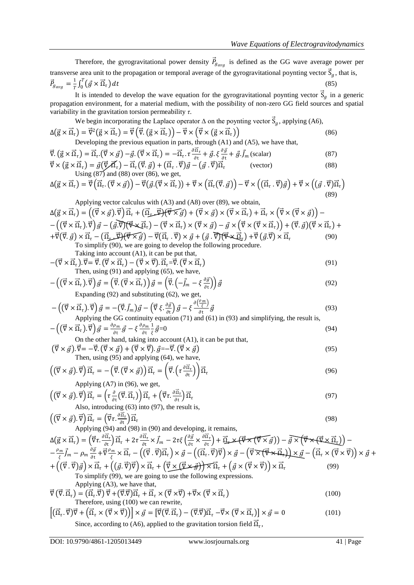Therefore, the gyrogravitational power density  $\vec{P}_{g_{avg}}$  is defined as the GG wave average power per transverse area unit to the propagation or temporal average of the gyrogravitational poynting vector  $\vec{S}_g$ , that is,  $\vec{P}_{g_{avg}} = \frac{1}{T}$  $\frac{1}{T}\int_0^T (\vec{g} \times \vec{\Omega}_\tau)$  $<sup>0</sup>$ </sup>  $dt$  (85)

It is intended to develop the wave equation for the gyrogravitational poynting vector  $\vec{S}_g$  in a generic propagation environment, for a material medium, with the possibility of non-zero GG field sources and spatial variability in the gravitation torsion permeability *τ*.

We begin incorporating the Laplace operator 
$$
\Delta
$$
 on the pointing vector  $\vec{S}_g$ , applying (A6),  
\n
$$
\Delta(\vec{g} \times \vec{\Omega}_\tau) = \vec{\nabla}^2 (\vec{g} \times \vec{\Omega}_\tau) = \vec{\nabla} (\vec{\nabla} \cdot (\vec{g} \times \vec{\Omega}_\tau)) - \vec{\nabla} \times (\vec{\nabla} \times (\vec{g} \times \vec{\Omega}_\tau))
$$
\n(86)

Developing the previous equation in parts, through (A1) and (A5), we have that,

$$
\vec{\nabla} \cdot (\vec{g} \times \vec{\Omega}_{\tau}) = \vec{\Omega}_{\tau} \cdot (\vec{\nabla} \times \vec{g}) - \vec{g} \cdot (\vec{\nabla} \times \vec{\Omega}_{\tau}) = -\vec{\Omega}_{\tau} \cdot \tau \frac{\partial \vec{\Omega}_{\tau}}{\partial t} + \vec{g} \cdot \xi \frac{\partial \vec{g}}{\partial t} + \vec{g} \cdot \vec{J}_{m} \text{ (scalar)} \tag{87}
$$
\n
$$
\vec{\nabla} \times (\vec{\sigma} \times \vec{\Omega}) = \vec{\sigma} (\vec{\nabla} \times \vec{\Delta}) - \vec{\Omega} (\vec{\nabla} \times \vec{\Delta}) + (\vec{\Omega} \times \vec{\nabla}) \vec{\sigma} - (\vec{\sigma} \times \vec{\nabla}) \vec{\Omega} \tag{88}
$$

$$
\vec{\nabla} \times (\vec{g} \times \vec{\Omega}_{\tau}) = \vec{g}(\vec{\nabla} \vec{\Lambda}_{\tau}) - \vec{\Omega}_{\tau}(\vec{\nabla} \cdot \vec{g}) + (\vec{\Omega}_{\tau} \cdot \vec{\nabla})\vec{g} - (\vec{g} \cdot \vec{\nabla})\vec{\Omega}_{\tau}
$$
 (vector)  
Using (87) and (88) over (86), we get, (89)

$$
\Delta(\vec{g} \times \vec{\Omega}_{\tau}) = \vec{\nabla} \left( \vec{\Omega}_{\tau} \cdot (\vec{\nabla} \times \vec{g}) \right) - \vec{\nabla} (\vec{g} \cdot (\vec{\nabla} \times \vec{\Omega}_{\tau})) + \vec{\nabla} \times \left( \vec{\Omega}_{\tau} (\vec{\nabla} \cdot \vec{g}) \right) - \vec{\nabla} \times \left( (\vec{\Omega}_{\tau} \cdot \vec{\nabla}) \vec{g} \right) + \vec{\nabla} \times \left( (\vec{g} \cdot \vec{\nabla}) \vec{\Omega}_{\tau} \right) \tag{89}
$$

Applying vector calculus with (A3) and (A8) over (89), we obtain,  
\n
$$
\Delta(\vec{g} \times \vec{\Omega}_{\tau}) = ((\vec{\nabla} \times \vec{g}) \cdot \vec{\nabla}) \vec{\Omega}_{\tau} + (\vec{\Omega}_{\tau} \cdot \vec{\nabla}) (\vec{\nabla} \times \vec{g}) + (\vec{\nabla} \times \vec{g}) \times (\vec{\nabla} \times \vec{\Omega}_{\tau}) + \vec{\Omega}_{\tau} \times (\vec{\nabla} \times (\vec{\nabla} \times \vec{g})) -
$$
\n
$$
- ((\vec{\nabla} \times \vec{\Omega}_{\tau}) \cdot \vec{\nabla}) \vec{g} - (\vec{g} \cdot \vec{\nabla}) (\vec{\nabla} \times \vec{\Omega}_{\tau}) - (\vec{\nabla} \times \vec{\Omega}_{\tau}) \times (\vec{\nabla} \times \vec{g}) - \vec{g} \times (\vec{\nabla} \times (\vec{\nabla} \times \vec{\Omega}_{\tau})) + (\vec{\nabla} \cdot \vec{g}) (\vec{\nabla} \times \vec{\Omega}_{\tau}) +
$$
\n
$$
+ \vec{\nabla} (\vec{\nabla} \cdot \vec{g}) \times \vec{\Omega}_{\tau} - (\vec{\Omega}_{\tau} \cdot \vec{\nabla}) (\vec{\nabla} \times \vec{g}) - \vec{\nabla} (\vec{\Omega}_{\tau} \cdot \vec{\nabla}) \times \vec{g} + (\vec{g} \cdot \vec{\nabla}) (\vec{\nabla} \times \vec{\Omega}_{\tau}) + \vec{\nabla} (\vec{g} \cdot \vec{\nabla}) \times \vec{\Omega}_{\tau}
$$
\n(90)

To simplify (90), we are going to develop the following procedure. Taking into account  $(41)$ , it can be put that

$$
-(\vec{\nabla} \times \vec{\Omega}_{\tau}) \cdot \vec{\nabla} = \vec{\nabla} \cdot (\vec{\nabla} \times \vec{\Omega}_{\tau}) - (\vec{\nabla} \times \vec{\nabla}) \cdot \vec{\Omega}_{\tau} = \vec{\nabla} \cdot (\vec{\nabla} \times \vec{\Omega}_{\tau})
$$
\nThen, using (91) and applying (65), we have.

\n
$$
(91)
$$

$$
-\left(\left(\vec{\nabla}\times\vec{\Omega}_{\tau}\right).\vec{\nabla}\right)\vec{g}=\left(\vec{\nabla}\cdot\left(\vec{\nabla}\times\vec{\Omega}_{\tau}\right)\right)\vec{g}=\left(\vec{\nabla}\cdot\left(-\vec{J}_{m}-\xi\frac{\partial\vec{g}}{\partial t}\right)\right)\vec{g}
$$
\n(92)

Expanding (92) and substituting (62), we get,

$$
-\left(\left(\vec{\nabla}\times\vec{\Omega}_{\tau}\right).\vec{\nabla}\right)\vec{g} = -\left(\vec{\nabla}.\vec{f}_{m}\right)\vec{g} - \left(\vec{\nabla}\xi.\frac{\partial\vec{g}}{\partial t}\right)\vec{g} - \xi\frac{\partial\left(\frac{\rho_{m}}{\xi}\right)}{\partial t}\vec{g}
$$
\nApplying the GG continuity equation (71) and (61) in (93) and simplifying, the result is,

\n
$$
(93)
$$

$$
-\left(\left(\vec{\nabla}\times\vec{\Omega}_{\tau}\right).\vec{\nabla}\right)\vec{g}=\frac{\partial\rho_{m}}{\partial t}\vec{g}-\xi\frac{\partial\rho_{m}}{\partial t}\frac{1}{\xi}\vec{g}=0\tag{94}
$$

On the other hand, taking into account (A1), it can be put that,  
\n
$$
(\vec{\nabla} \times \vec{g}) \cdot \vec{\nabla} = -\vec{\nabla} \cdot (\vec{\nabla} \times \vec{g}) + (\vec{\nabla} \times \vec{\nabla}) \cdot \vec{g} = -\vec{\nabla} \cdot (\vec{\nabla} \times \vec{g})
$$
  
\nThen, using (95) and applying (64), we have.

$$
\left( (\vec{\nabla} \times \vec{g}) . \vec{\nabla} \right) \vec{\Omega}_{\tau} = -\left( \vec{\nabla} . (\vec{\nabla} \times \vec{g}) \right) \vec{\Omega}_{\tau} = \left( \vec{\nabla} . \left( \tau \frac{\partial \vec{\Omega}_{\tau}}{\partial t} \right) \right) \vec{\Omega}_{\tau}
$$
\nApplying (A7) in (96), we get

Applying (A') in (90), we get,  
\n
$$
\left( (\vec{\nabla} \times \vec{g}) . \vec{\nabla} \right) \vec{\Omega}_{\tau} = \left( \tau \frac{\partial}{\partial t} (\vec{\nabla} . \vec{\Omega}_{\tau}) \right) \vec{\Omega}_{\tau} + \left( \vec{\nabla} \tau \frac{\partial \vec{\Omega}_{\tau}}{\partial t} \right) \vec{\Omega}_{\tau}
$$
\n(97)

Also, introducing (63) into (97), the result is,  $\left((\vec{\nabla}\times\vec{g}).\vec{\nabla}\right)\vec{\Omega}_{\tau}=\left(\vec{\nabla}\tau.\frac{\partial\vec{\Omega}_{\tau}}{\partial t}\right)$  $\frac{\partial \Omega_{\tau}}{\partial t}$ ) $\vec{\Omega}_{\tau}$ 

Applying (94) and (98) in (90) and developing, it remains,

$$
\Delta(\vec{g} \times \vec{\Omega}_{\tau}) = (\vec{\nabla}\tau \cdot \frac{\partial \vec{\Omega}_{\tau}}{\partial t}) \vec{\Omega}_{\tau} + 2\tau \frac{\partial \vec{\Omega}_{\tau}}{\partial t} \times \vec{J}_{m} - 2\tau \xi \left(\frac{\partial \vec{g}}{\partial t} \times \frac{\partial \vec{\Omega}_{\tau}}{\partial t}\right) + \vec{\Omega}_{\tau} \times (\vec{\nabla}\times(\vec{\nabla}\times\vec{g})) - \vec{g} \times (\vec{\nabla}\times(\vec{\nabla}\times\vec{\Omega}_{\tau})) -
$$
  
\n
$$
-\frac{\rho_{m}}{\xi} \vec{J}_{m} - \rho_{m} \frac{\partial \vec{g}}{\partial t} + \vec{\nabla}\frac{\rho_{m}}{\xi} \times \vec{\Omega}_{\tau} - ((\vec{\nabla}\cdot\vec{\nabla})\vec{\Omega}_{\tau}) \times \vec{g} - ((\vec{\Omega}_{\tau} \cdot \vec{\nabla})\vec{\nabla}) \times \vec{g} - (\vec{\nabla}\times(\vec{\nabla}\times\vec{\Omega}_{\tau})) \times \vec{g} - (\vec{\Omega}_{\tau} \times(\vec{\nabla}\times\vec{\nabla})) \times \vec{g} +
$$
  
\n
$$
+ ((\vec{\nabla}\cdot\vec{\nabla})\vec{g}) \times \vec{\Omega}_{\tau} + ((\vec{g}\cdot\vec{\nabla})\vec{\nabla}) \times \vec{\Omega}_{\tau} + (\vec{\nabla}\times(\vec{\nabla}\times\vec{g})) \times \vec{\Omega}_{\tau} + (\vec{g} \times(\vec{\nabla}\times\vec{\nabla})) \times \vec{\Omega}_{\tau}
$$
(99)

To simplify (99), we are going to use the following expressions. Applying (A3), we have that,

$$
\vec{\nabla} (\vec{\nabla} \cdot \vec{\Omega}_{\tau}) = (\vec{\Omega}_{\tau} \cdot \vec{\nabla}) \vec{\nabla} + (\vec{\nabla} \cdot \vec{\nabla}) \vec{\Omega}_{\tau} + \vec{\Omega}_{\tau} \times (\vec{\nabla} \times \vec{\nabla}) + \vec{\nabla} \times (\vec{\nabla} \times \vec{\Omega}_{\tau})
$$
\nTherefore, using (100) we can rewrite,

$$
\left[ (\vec{\Omega}_{\tau}, \vec{\nabla}) \vec{\nabla} + (\vec{\Omega}_{\tau} \times (\vec{\nabla} \times \vec{\nabla})) \right] \times \vec{g} = \left[ \vec{\nabla} (\vec{\nabla} \cdot \vec{\Omega}_{\tau}) - (\vec{\nabla} \cdot \vec{\nabla}) \vec{\Omega}_{\tau} - \vec{\nabla} \times (\vec{\nabla} \times \vec{\Omega}_{\tau}) \right] \times \vec{g} = 0 \tag{101}
$$
  
Since, according to (A6), applied to the gravitation torsion field  $\vec{\Omega}_{\tau}$ ,

(98)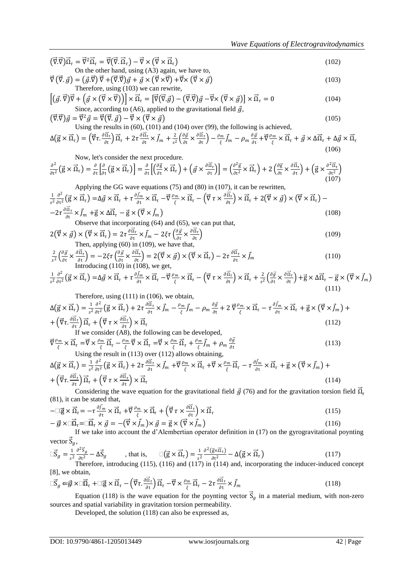$$
(\vec{\nabla}\cdot\vec{\nabla})\vec{\Omega}_{\tau} = \vec{\nabla}^{2}\vec{\Omega}_{\tau} = \vec{\nabla}(\vec{\nabla}\cdot\vec{\Omega}_{\tau}) - \vec{\nabla}\times(\vec{\nabla}\times\vec{\Omega}_{\tau})
$$
  
On the other hand, using (A3) again, we have to,

$$
\vec{\nabla}(\vec{\nabla}.\vec{g}) = (\vec{g}.\vec{\nabla})\vec{\nabla} + (\vec{\nabla}.\vec{\nabla})\vec{g} + \vec{g} \times (\vec{\nabla} \times \vec{\nabla}) + \vec{\nabla} \times (\vec{\nabla} \times \vec{g})
$$
\nTherefore, using (103) we can rewrite,

$$
\left[ (\vec{g} \cdot \vec{\nabla}) \vec{\nabla} + (\vec{g} \times (\vec{\nabla} \times \vec{\nabla})) \right] \times \vec{\Omega}_{\tau} = \left[ \vec{\nabla} (\vec{\nabla} \cdot \vec{g}) - (\vec{\nabla} \cdot \vec{\nabla}) \vec{g} - \vec{\nabla} \times (\vec{\nabla} \times \vec{g}) \right] \times \vec{\Omega}_{\tau} = 0
$$
\nSince, according to (A6), applied to the gravitational field  $\vec{g}$ ,

$$
(\vec{\nabla}\vec{v})\vec{g} = \vec{\nabla}^2 \vec{g} = \vec{\nabla}(\vec{\nabla}.\vec{g}) - \vec{\nabla} \times (\vec{\nabla} \times \vec{g})
$$
\nUsing the results in (60), (101), and (104), over (90), the following is achieved.

Using the results in (00), (101) and (104) over (99), the following is a  
\n
$$
\Delta(\vec{g} \times \vec{\Omega}_{\tau}) = (\vec{\nabla}\tau \cdot \frac{\partial \vec{\Omega}_{\tau}}{\partial t}) \vec{\Omega}_{\tau} + 2\tau \frac{\partial \vec{\Omega}_{\tau}}{\partial t} \times \vec{J}_{m} + \frac{2}{s^{2}} \left(\frac{\partial \vec{g}}{\partial t} \times \frac{\partial \vec{\Omega}_{\tau}}{\partial t}\right) - \frac{\rho_{m}}{\xi} \vec{J}_{m} - \rho_{m} \frac{\partial \vec{g}}{\partial t} + \vec{\nabla} \frac{\rho_{m}}{\xi} \times \vec{\Omega}_{\tau} + \vec{g} \times \Delta \vec{\Omega}_{\tau} + \Delta \vec{g} \times \vec{\Omega}_{\tau}
$$
\n(106)

Now, let's consider the next procedure.  
\n
$$
\frac{\partial^2}{\partial t^2} \left( \vec{g} \times \vec{\Omega}_\tau \right) = \frac{\partial}{\partial t} \left[ \frac{\partial}{\partial t} \left( \vec{g} \times \vec{\Omega}_\tau \right) \right] = \frac{\partial}{\partial t} \left[ \left( \frac{\partial \vec{g}}{\partial t} \times \vec{\Omega}_\tau \right) + \left( \vec{g} \times \frac{\partial \vec{\Omega}_\tau}{\partial t} \right) \right] = \left( \frac{\partial^2 \vec{g}}{\partial t^2} \times \vec{\Omega}_\tau \right) + 2 \left( \frac{\partial \vec{g}}{\partial t} \times \frac{\partial \vec{\Omega}_\tau}{\partial t} \right) + \left( \vec{g} \times \frac{\partial^2 \vec{\Omega}_\tau}{\partial t^2} \right) \tag{107}
$$

Applying the GG wave equations (75) and (80) in (107), it can be rewritten,  
\n
$$
\frac{1}{s^2} \frac{\partial^2}{\partial t^2} \left( \vec{g} \times \vec{\Omega}_\tau \right) = \Delta \vec{g} \times \vec{\Omega}_\tau + \tau \frac{\partial \vec{f}_m}{\partial t} \times \vec{\Omega}_\tau - \vec{\nabla} \frac{\rho_m}{\xi} \times \vec{\Omega}_\tau - \left( \vec{\nabla} \tau \times \frac{\partial \vec{\Omega}_\tau}{\partial t} \right) \times \vec{\Omega}_\tau + 2 \left( \vec{\nabla} \times \vec{g} \right) \times \left( \vec{\nabla} \times \vec{\Omega}_\tau \right) -
$$
\n
$$
-2\tau \frac{\partial \vec{\Omega}_\tau}{\partial t} \times \vec{f}_m + \vec{g} \times \Delta \vec{\Omega}_\tau - \vec{g} \times \left( \vec{\nabla} \times \vec{f}_m \right) \tag{108}
$$

Observe that incorporating (64) and (65), we can put that,

$$
2(\vec{\nabla} \times \vec{g}) \times (\vec{\nabla} \times \vec{\Omega}_{\tau}) = 2\tau \frac{\partial \vec{\Omega}_{\tau}}{\partial t} \times \vec{f}_{m} - 2\xi\tau \left(\frac{\partial \vec{g}}{\partial t} \times \frac{\partial \vec{\Omega}_{\tau}}{\partial t}\right)
$$
\nThen, applying (60) in (109), we have that,

\n
$$
(109)
$$

$$
\frac{2}{s^2} \left( \frac{\partial \vec{g}}{\partial t} \times \frac{\partial \vec{\Omega}_{\tau}}{\partial t} \right) = -2\xi \tau \left( \frac{\partial \vec{g}}{\partial t} \times \frac{\partial \vec{\Omega}_{\tau}}{\partial t} \right) = 2(\vec{\nabla} \times \vec{g}) \times (\vec{\nabla} \times \vec{\Omega}_{\tau}) - 2\tau \frac{\partial \vec{\Omega}_{\tau}}{\partial t} \times \vec{J}_{m}
$$
(110)  
Introducing (110) in (108), we get,

$$
\frac{1}{s^2} \frac{\partial^2}{\partial t^2} \left( \vec{g} \times \vec{\Omega}_\tau \right) = \Delta \vec{g} \times \vec{\Omega}_\tau + \tau \frac{\partial \vec{f}_m}{\partial t} \times \vec{\Omega}_\tau - \vec{\nabla} \frac{\rho_m}{\xi} \times \vec{\Omega}_\tau - \left( \vec{\nabla} \tau \times \frac{\partial \vec{\Omega}_\tau}{\partial t} \right) \times \vec{\Omega}_\tau + \frac{2}{s^2} \left( \frac{\partial \vec{g}}{\partial t} \times \frac{\partial \vec{\Omega}_\tau}{\partial t} \right) + \vec{g} \times \Delta \vec{\Omega}_\tau - \vec{g} \times \left( \vec{\nabla} \times \vec{f}_m \right)
$$
\n(111)

Therefore, using (111) in (106), we obtain,

$$
\Delta(\vec{g} \times \vec{\Omega}_{\tau}) = \frac{1}{s^2} \frac{\partial^2}{\partial t^2} (\vec{g} \times \vec{\Omega}_{\tau}) + 2\tau \frac{\partial \vec{\Omega}_{\tau}}{\partial t} \times \vec{J}_m - \frac{\rho_m}{\xi} \vec{J}_m - \rho_m \frac{\partial \vec{g}}{\partial t} + 2\vec{\nabla} \frac{\rho_m}{\xi} \times \vec{\Omega}_{\tau} - \tau \frac{\partial \vec{J}_m}{\partial t} \times \vec{\Omega}_{\tau} + \vec{g} \times (\vec{\nabla} \times \vec{J}_m) + \left(\vec{\nabla} \tau \cdot \frac{\partial \vec{\Omega}_{\tau}}{\partial t}\right) \vec{\Omega}_{\tau} + \left(\vec{\nabla} \tau \times \frac{\partial \vec{\Omega}_{\tau}}{\partial t}\right) \times \vec{\Omega}_{\tau}
$$
\n(112)

 $\partial t$   $\int_{0}^{2\pi}$   $\int_{0}^{2\pi}$   $\int_{0}^{2\pi}$   $\int_{0}^{2\pi}$   $\int_{0}^{2\pi}$   $\int_{0}^{2\pi}$   $\int_{0}^{2\pi}$   $\int_{0}^{2\pi}$   $\int_{0}^{2\pi}$   $\int_{0}^{2\pi}$   $\int_{0}^{2\pi}$   $\int_{0}^{2\pi}$   $\int_{0}^{2\pi}$   $\int_{0}^{2\pi}$   $\int_{0}^{2\pi}$   $\int_{0}^{2\pi}$   $\int_{0}^{$ 

$$
\vec{\nabla}\frac{\rho_m}{\xi} \times \vec{\Omega}_{\tau} = \vec{\nabla} \times \frac{\rho_m}{\xi} \vec{\Omega}_{\tau} - \frac{\rho_m}{\xi} \vec{\nabla} \times \vec{\Omega}_{\tau} = \vec{\nabla} \times \frac{\rho_m}{\xi} \vec{\Omega}_{\tau} + \frac{\rho_m}{\xi} \vec{J}_m + \rho_m \frac{\partial \vec{g}}{\partial t}
$$
\n(113)  
\nUsing the result in (113) over (112) allows obtaining,

$$
\Delta(\vec{g} \times \vec{\Omega}_{\tau}) = \frac{1}{s^2} \frac{\partial^2}{\partial t^2} (\vec{g} \times \vec{\Omega}_{\tau}) + 2\tau \frac{\partial \vec{\Omega}_{\tau}}{\partial t} \times \vec{J}_m + \vec{\nabla} \frac{\rho_m}{\xi} \times \vec{\Omega}_{\tau} + \vec{\nabla} \times \frac{\rho_m}{\xi} \vec{\Omega}_{\tau} - \tau \frac{\partial \vec{J}_m}{\partial t} \times \vec{\Omega}_{\tau} + \vec{g} \times (\vec{\nabla} \times \vec{J}_m) + + (\vec{\nabla} \tau \cdot \frac{\partial \vec{\Omega}_{\tau}}{\partial t}) \vec{\Omega}_{\tau} + (\vec{\nabla} \tau \times \frac{\partial \vec{\Omega}_{\tau}}{\partial t}) \times \vec{\Omega}_{\tau}
$$
\n(114)

Considering the wave equation for the gravitational field  $\vec{g}$  (76) and for the gravitation torsion field  $\vec{\Omega}_t$ (81), it can be stated that,

$$
-\Box \vec{g} \times \vec{\Omega}_{\tau} = -\tau \frac{\partial \vec{f}_m}{\partial t} \times \vec{\Omega}_{\tau} + \vec{\nabla} \frac{\rho_m}{\xi} \times \vec{\Omega}_{\tau} + \left( \vec{\nabla} \tau \times \frac{\partial \vec{\Omega}_{\tau}}{\partial t} \right) \times \vec{\Omega}_{\tau}
$$
\n
$$
-\vec{g} \times \Box \vec{\Omega}_{\tau} = \Box \vec{\Omega}_{\tau} \times \vec{g} = -(\vec{\nabla} \times \vec{f}_m) \times \vec{g} = \vec{g} \times (\vec{\nabla} \times \vec{f}_m)
$$
\n(116)

If we take into account the d'Alembertian operator definition in (17) on the gyrogravitational pointing vector 
$$
\vec{S}_g
$$
,

$$
\Box \vec{S}_g = \frac{1}{s^2} \frac{\partial^2 \vec{S}_g}{\partial t^2} - \Delta \vec{S}_g
$$
, that is, 
$$
\Box (\vec{g} \times \vec{\Omega}_\tau) = \frac{1}{s^2} \frac{\partial^2 (\vec{g} \times \vec{\Omega}_\tau)}{\partial t^2} - \Delta (\vec{g} \times \vec{\Omega}_\tau)
$$
(117)

Therefore, introducing (115), (116) and (117) in (114) and, incorporating the inducer-induced concept [8], we obtain,

$$
\vec{\mathbf{S}}_g \Leftarrow \vec{g} \times \vec{\mathbf{M}}_{\tau} + \vec{\mathbf{M}} \times \vec{\mathbf{M}}_{\tau} - \left(\vec{\nabla}\tau \cdot \frac{\partial \vec{\mathbf{M}}_{\tau}}{\partial t}\right) \vec{\mathbf{M}}_{\tau} - \vec{\nabla} \times \frac{\rho_m}{\xi} \vec{\mathbf{M}}_{\tau} - 2\tau \frac{\partial \vec{\mathbf{M}}_{\tau}}{\partial t} \times \vec{J}_m
$$
\n(118)

Equation (118) is the wave equation for the poynting vector  $\vec{S}_g$  in a material medium, with non-zero sources and spatial variability in gravitation torsion permeability.

Developed, the solution (118) can also be expressed as,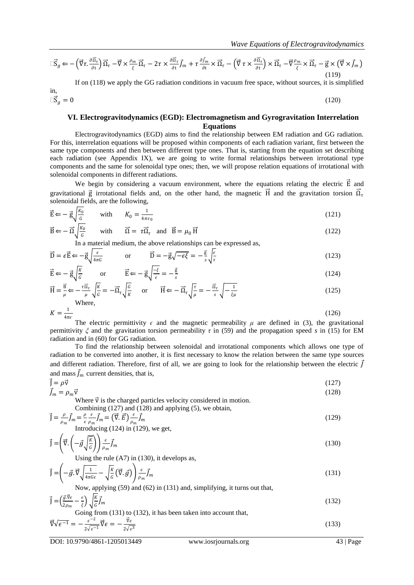$$
\Box \vec{S}_g \leftarrow -\left(\vec{\nabla}\tau.\frac{\partial \vec{\Omega}_{\tau}}{\partial t}\right) \vec{\Omega}_{\tau} - \vec{\nabla} \times \frac{\rho_m}{\xi} \vec{\Omega}_{\tau} - 2\tau \times \frac{\partial \vec{\Omega}_{\tau}}{\partial t} \vec{J}_m + \tau \frac{\partial \vec{J}_m}{\partial t} \times \vec{\Omega}_{\tau} - \left(\vec{\nabla}\tau \times \frac{\partial \vec{\Omega}_{\tau}}{\partial t}\right) \times \vec{\Omega}_{\tau} - \vec{\nabla}\frac{\rho_m}{\xi} \times \vec{\Omega}_{\tau} - \vec{g} \times \left(\vec{\nabla} \times \vec{J}_m\right)
$$
\n(119)

If on (118) we apply the GG radiation conditions in vacuum free space, without sources, it is simplified

$$
\Box \vec{S}_g = 0 \tag{120}
$$

in,

#### **VI. Electrogravitodynamics (EGD): Electromagnetism and Gyrogravitation Interrelation Equations**

Electrogravitodynamics (EGD) aims to find the relationship between EM radiation and GG radiation. For this, interrelation equations will be proposed within components of each radiation variant, first between the same type components and then between different type ones. That is, starting from the equation set describing each radiation (see Appendix IX), we are going to write formal relationships between irrotational type components and the same for solenoidal type ones; then, we will propose relation equations of irrotational with solenoidal components in different radiations.

We begin by considering a vacuum environment, where the equations relating the electric  $\vec{E}$  and gravitational  $\vec{g}$  irrotational fields and, on the other hand, the magnetic  $\vec{H}$  and the gravitation torsion  $\vec{\Omega}_t$ solenoidal fields, are the following,

$$
\vec{E} \Leftarrow -\vec{g}\sqrt{\frac{K_0}{G}} \qquad \text{with} \qquad K_0 = \frac{1}{4\pi\epsilon_0} \tag{121}
$$

$$
\vec{B} \leftarrow -\vec{\Omega} \sqrt{\frac{k_0}{G}} \quad \text{with} \quad \vec{\Omega} = \tau \vec{\Omega}_\tau \quad \text{and} \quad \vec{B} = \mu_0 \vec{H} \tag{122}
$$

In a material medium, the above relationships can be expressed as,

$$
\vec{D} = \epsilon \vec{E} \Leftarrow -\vec{g} \sqrt{\frac{\epsilon}{4\pi G}} \qquad \text{or} \qquad \vec{D} = -\vec{g} \sqrt{-\epsilon \xi} = -\frac{\vec{g}}{s} \sqrt{\frac{\epsilon}{\tau}} \tag{123}
$$

$$
\vec{E} \leftarrow -\vec{g}\sqrt{\frac{k}{g}} \qquad \text{or} \qquad \vec{E} \leftarrow -\vec{g}\sqrt{\frac{-\xi}{\epsilon}} = -\frac{\vec{g}}{s} \tag{124}
$$

$$
\vec{H} = \frac{\vec{B}}{\mu} \Leftarrow -\frac{\tau \vec{\Omega}_{\tau}}{\mu} \sqrt{\frac{K}{G}} = -\vec{\Omega}_{\tau} \sqrt{\frac{G}{K}} \quad \text{or} \quad \vec{H} \Leftarrow -\vec{\Omega}_{\tau} \sqrt{\frac{\tau}{\mu}} = -\frac{\vec{\Omega}_{\tau}}{s} \sqrt{-\frac{1}{\xi \mu}} \tag{125}
$$

$$
K = \frac{1}{4\pi\epsilon} \tag{126}
$$

The electric permittivity  $\epsilon$  and the magnetic permeability  $\mu$  are defined in (3), the gravitational permittivity *ξ* and the gravitation torsion permeability *τ* in (59) and the propagation speed *s* in (15) for EM radiation and in (60) for GG radiation.

To find the relationship between solenoidal and irrotational components which allows one type of radiation to be converted into another, it is first necessary to know the relation between the same type sources and different radiation. Therefore, first of all, we are going to look for the relationship between the electric  $\vec{J}$ and mass  $\vec{J}_m$  current densities, that is,

$$
\vec{J} = \rho \vec{v}
$$
 (127)

 $\vec{J}_m = \rho_m \vec{v}$  (128) Where  $\vec{v}$  is the charged particles velocity considered in motion.

Combining (127) and (128) and applying (5), we obtain,  
\n
$$
\vec{J} = \frac{\rho}{\rho_m} \vec{J}_m = \frac{\rho}{\epsilon} \frac{\epsilon}{\rho_m} \vec{J}_m = (\vec{\nabla} \cdot \vec{E}) \frac{\epsilon}{\rho_m} \vec{J}_m
$$
\n(129)

Introducing (124) in (129), we get,

$$
\vec{J} = \left(\vec{\nabla} \cdot \left(-\vec{g}\sqrt{\frac{\kappa}{G}}\right)\right) \frac{\epsilon}{\rho_m} \vec{J}_m \tag{130}
$$

Using the rule (A7) in (130), it develops as,

$$
\vec{J} = \left(-\vec{g} \cdot \vec{\nabla} \sqrt{\frac{1}{4\pi G \epsilon}} - \sqrt{\frac{K}{G}} \left(\vec{\nabla} \cdot \vec{g}\right)\right) \frac{\epsilon}{\rho_m} \vec{J}_m
$$
\n(131)

Now, applying (59) and (62) in (131) and, simplifying, it turns out that,

$$
\vec{J} = \left(\frac{\vec{g}\cdot\vec{v}\epsilon}{2\rho_m} - \frac{\epsilon}{\xi}\right)\sqrt{\frac{k}{G}}\vec{J}_m
$$
\n(132)

Going from (131) to (132), it has been taken into account that,  
\n
$$
\vec{\nabla}\sqrt{\epsilon^{-1}} = -\frac{\epsilon^{-2}}{2\sqrt{\epsilon^{-1}}}\vec{\nabla}\epsilon = -\frac{\vec{\nabla}\epsilon}{2\sqrt{\epsilon^3}}
$$
\n(133)

DOI: 10.9790/4861-1205013449 www.iosrjournals.org 43 | Page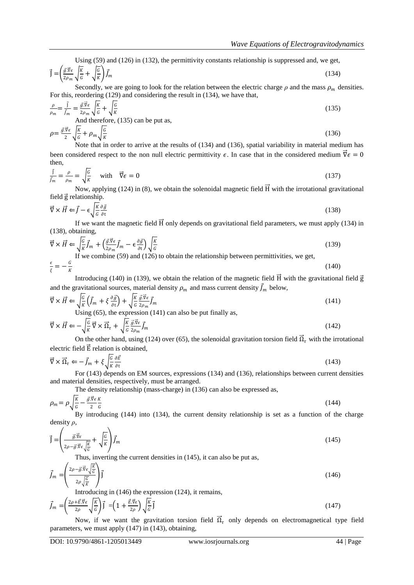Using (59) and (126) in (132), the permittivity constants relationship is suppressed and, we get,

$$
\vec{J} = \left(\frac{\vec{g}.\vec{v}\epsilon}{2\rho_m}\sqrt{\frac{K}{G}} + \sqrt{\frac{G}{K}}\right)\vec{J}_m
$$
\n(134)

Secondly, we are going to look for the relation between the electric charge  $\rho$  and the mass  $\rho_m$  densities. For this, reordering (129) and considering the result in (134), we have that,

$$
\frac{\rho}{\rho_m} = \frac{\vec{j}}{\vec{j}_m} = \frac{\vec{g} \cdot \vec{v} \epsilon}{2 \rho_m} \sqrt{\frac{K}{G}} + \sqrt{\frac{G}{K}}
$$
\nAnd therefore, (135) can be put as,  
\n
$$
\rho = \frac{\vec{g} \cdot \vec{v} \epsilon}{2} \sqrt{\frac{K}{G}} + \rho_m \sqrt{\frac{G}{K}}
$$
\n(136)

K Note that in order to arrive at the results of (134) and (136), spatial variability in material medium has been considered respect to the non null electric permittivity  $\epsilon$ . In case that in the considered medium  $\vec{\nabla} \epsilon = 0$ then,

$$
\frac{\vec{J}}{\vec{J}_m} = \frac{\rho}{\rho_m} = \sqrt{\frac{G}{K}} \quad \text{with} \quad \vec{\nabla} \epsilon = 0 \tag{137}
$$

Now, applying (124) in (8), we obtain the solenoidal magnetic field H with the irrotational gravitational field g relationship.

$$
\vec{\nabla} \times \vec{H} \Leftarrow \vec{J} - \epsilon \sqrt{\frac{\kappa}{G} \frac{\partial \vec{g}}{\partial t}} \tag{138}
$$

If we want the magnetic field  $\overline{H}$  only depends on gravitational field parameters, we must apply (134) in (138), obtaining,

$$
\vec{\nabla} \times \vec{H} \leftarrow \sqrt{\frac{G}{K}} \vec{f}_m + \left(\frac{\vec{g} \cdot \vec{v}}{2\rho_m} \vec{f}_m - \epsilon \frac{\partial \vec{g}}{\partial t}\right) \sqrt{\frac{K}{G}}
$$
\n(139)  
\nIf we combine (59) and (126) to obtain the relationship between permittivities, we get,

$$
\frac{\epsilon}{\xi} = -\frac{G}{K}
$$
 (140)

Introducing (140) in (139), we obtain the relation of the magnetic field H with the gravitational field  $\vec{g}$ and the gravitational sources, material density  $\rho_m$  and mass current density  $\vec{J}_m$  below,

$$
\vec{\nabla} \times \vec{H} \leftarrow \sqrt{\frac{G}{K}} \left( \vec{J}_m + \xi \frac{\partial \vec{g}}{\partial t} \right) + \sqrt{\frac{K}{G}} \frac{\vec{g} \cdot \vec{\nabla} \epsilon}{2\rho_m} \vec{J}_m
$$
\nUsing (65), the expression (141) can also be put finally as,

\n
$$
\tag{141}
$$

$$
\vec{\nabla} \times \vec{H} \leftarrow -\sqrt{\frac{G}{K}} \vec{\nabla} \times \vec{\Omega}_{\tau} + \sqrt{\frac{K}{G}} \frac{\vec{g} \cdot \vec{\nabla} \epsilon}{2\rho_m} \vec{J}_m
$$
\n(142)

On the other hand, using (124) over (65), the solenoidal gravitation torsion field  $\vec{\Omega}_{\tau}$  with the irrotational electric field  $\vec{E}$  relation is obtained,

$$
\vec{\nabla} \times \vec{\Omega}_{\tau} \Leftarrow -\vec{J}_{m} + \xi \sqrt{\frac{G}{K} \frac{\partial \vec{E}}{\partial t}}
$$
\n(143)

For (143) depends on EM sources, expressions (134) and (136), relationships between current densities and material densities, respectively, must be arranged.

The density relationship (mass-charge) in (136) can also be expressed as,

$$
\rho_m = \rho \sqrt{\frac{\kappa}{G}} - \frac{\vec{g} \cdot \vec{\nabla} \epsilon}{2 \cdot G} \tag{144}
$$

By introducing (144) into (134), the current density relationship is set as a function of the charge density *ρ*,

$$
\vec{J} = \left(\frac{\vec{g}\cdot\vec{v}\epsilon}{2\rho - \vec{g}\cdot\vec{v}\epsilon\sqrt{\frac{K}{G}}} + \sqrt{\frac{G}{K}}\right)\vec{J}_m
$$
\n(145)

Thus, inverting the current densities in (145), it can also be put as,

$$
\vec{J}_m = \left(\frac{2\rho - \vec{g}\cdot\vec{v}\epsilon \sqrt{\frac{K}{G}}}{2\rho\sqrt{\frac{G}{K}}}\right)\vec{J}
$$
\n(146)

Introducing in (146) the expression (124), it remains,

$$
\vec{J}_m = \left(\frac{2\rho + \vec{E}.\vec{\nabla}\epsilon}{2\rho}\sqrt{\frac{K}{G}}\right)\vec{J} = \left(1 + \frac{\vec{E}.\vec{\nabla}\epsilon}{2\rho}\right)\sqrt{\frac{K}{G}}\vec{J}
$$
\n(147)

Now, if we want the gravitation torsion field  $\vec{\Omega}_{\tau}$  only depends on electromagnetical type field parameters, we must apply (147) in (143), obtaining,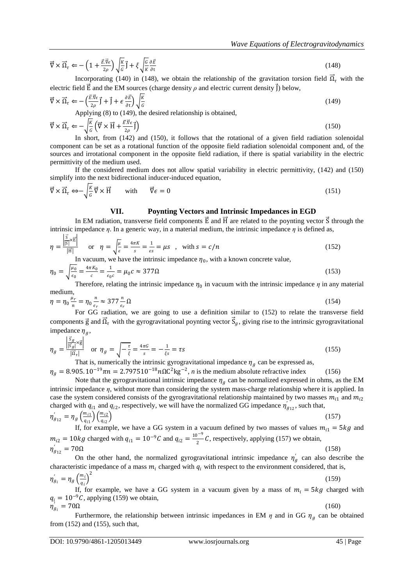$$
\vec{\nabla} \times \vec{\Omega}_{\tau} \leftarrow -\left(1 + \frac{\vec{E} \cdot \vec{\nabla} \epsilon}{2\rho}\right) \sqrt{\frac{K}{G}} \vec{J} + \xi \sqrt{\frac{G}{K} \frac{\partial \vec{E}}{\partial t}}
$$
\n(148)

Incorporating (140) in (148), we obtain the relationship of the gravitation torsion field  $\vec{\Omega}_{\tau}$  with the electric field  $\vec{E}$  and the EM sources (charge density  $\rho$  and electric current density  $\vec{j}$ ) below,

$$
\vec{\nabla} \times \vec{\Omega}_\tau \Leftarrow -\left(\frac{\vec{E} \cdot \vec{\nabla} \epsilon}{2\rho} \vec{J} + \vec{J} + \epsilon \frac{\partial \vec{E}}{\partial t}\right) \sqrt{\frac{K}{G}}
$$
\n(149)

\nApplying (8) to (149), the desired relationship is obtained.

$$
\vec{\nabla} \times \vec{\Omega}_r \leftarrow -\sqrt{\frac{\kappa}{6}} \left( \vec{\nabla} \times \vec{H} + \frac{\vec{E} \cdot \vec{\nabla} \epsilon}{2\rho} \vec{I} \right)
$$
\n(150)

In short, from (142) and (150), it follows that the rotational of a given field radiation solenoidal component can be set as a rotational function of the opposite field radiation solenoidal component and, of the sources and irrotational component in the opposite field radiation, if there is spatial variability in the electric permittivity of the medium used.

If the considered medium does not allow spatial variability in electric permittivity, (142) and (150) simplify into the next bidirectional inducer-induced equation,

$$
\vec{\nabla} \times \vec{\Omega}_{\tau} \iff -\sqrt{\frac{\kappa}{G}} \vec{\nabla} \times \vec{H} \qquad \text{with} \qquad \vec{\nabla} \epsilon = 0 \tag{151}
$$

# **VII. Poynting Vectors and Intrinsic Impedances in EGD**

In EM radiation, transverse field components  $\vec{E}$  and  $\vec{H}$  are related to the poynting vector  $\vec{S}$  through the intrinsic impedance *η*. In a generic way, in a material medium, the intrinsic impedance *η* is defined as,

$$
\eta = \frac{\left| \frac{\overline{S}}{|\overline{S}|} \times \overline{E} \right|}{|\overline{H}|} \quad \text{or} \quad \eta = \sqrt{\frac{\mu}{\epsilon}} = \frac{4\pi K}{s} = \frac{1}{\epsilon s} = \mu s \quad , \quad \text{with } s = c/n
$$
\n(152)

In vacuum, we have the intrinsic impedance  $\eta_0$ , with a known concrete value,

$$
\eta_0 = \sqrt{\frac{\mu_0}{\epsilon_0}} = \frac{4\pi K_0}{c} = \frac{1}{\epsilon_0 c} = \mu_0 c \approx 377 \Omega
$$
\n(153)

Therefore, relating the intrinsic impedance  $\eta_0$  in vacuum with the intrinsic impedance  $\eta$  in any material medium,

$$
\eta = \eta_0 \frac{\mu_r}{n} = \eta_0 \frac{n}{\epsilon_r} \approx 377 \frac{n}{\epsilon_r} \Omega
$$
\n(154)

For GG radiation, we are going to use a definition similar to (152) to relate the transverse field components  $\vec{g}$  and  $\vec{\Omega}_\tau$  with the gyrogravitational poynting vector  $\vec{S}_g$ , giving rise to the intrinsic gyrogravitational impedance  $\eta_g$ ,

$$
\eta_g = \frac{\left| \frac{\overline{S}_g}{|\overline{S}_g|} \times \overline{g} \right|}{\left| \overline{\Omega}_\tau \right|} \quad \text{or} \quad \eta_g = \sqrt{-\frac{\tau}{\xi}} = \frac{4\pi G}{s} = -\frac{1}{\xi s} = \tau s \tag{155}
$$

That is, numerically the intrinsic gyrogravitational impedance  $\eta_g$  can be expressed as,

 $\eta_g = 8.905. 10^{-19} \pi n = 2.797510^{-18} n \Omega C^2 \text{kg}^{-2}$ , *n* is the medium absolute refractive index (156) Note that the gyrogravitational intrinsic impedance  $\eta_a$  can be normalized expressed in ohms, as the EM intrinsic impedance *η*, without more than considering the system mass-charge relationship where it is applied. In case the system considered consists of the gyrogravitational relationship maintained by two masses  $m_{i1}$  and  $m_{i2}$ charged with  $q_{i1}$  and  $q_{i2}$ , respectively, we will have the normalized GG impedance  $\eta'_{g_{12}}$ , such that,

$$
\eta'_{g_{12}} = \eta_g \left(\frac{m_{i1}}{q_{i1}}\right) \left(\frac{m_{i2}}{q_{i2}}\right)
$$
\n(157)

If, for example, we have a GG system in a vacuum defined by two masses of values  $m_{i1} = 5kg$  and  $m_{i2} = 10kg$  charged with  $q_{i1} = 10^{-9}C$  and  $q_{i2} = \frac{10^{-9}C}{2}$  $\frac{1}{2}$  C, respectively, applying (157) we obtain,  $\eta'_{g_{12}} = 70\Omega$  (158)

On the other hand, the normalized gyrogravitational intrinsic impedance  $\eta'_{g}$  can also describe the characteristic impedance of a mass  $m_i$  charged with  $q_i$  with respect to the environment considered, that is,

$$
\eta'_{g_i} = \eta_g \left(\frac{m_i}{q_i}\right)^2 \tag{159}
$$

If, for example, we have a GG system in a vacuum given by a mass of  $m_i = 5kg$  charged with  $q_i = 10^{-9}C$ , applying (159) we obtain,  $\eta_{g_i} = 70\Omega$  $C_{q_i} = 70\Omega$  (160)

Furthermore, the relationship between intrinsic impedances in EM  $\eta$  and in GG  $\eta_g$  can be obtained from (152) and (155), such that,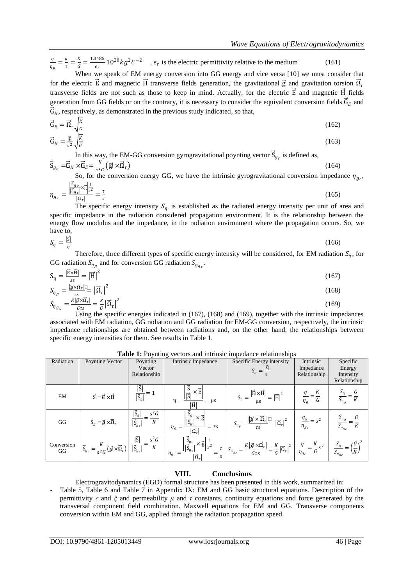η  $\frac{\eta}{\eta_g} = \frac{\mu}{\tau}$  $\frac{\mu}{\tau}=\frac{K}{G}$  $\frac{K}{G} = \frac{1.3485}{\epsilon_r}$  $\frac{1}{\epsilon_r}$  10<sup>20</sup>  $kg^2C^{-2}$ ,  $\epsilon_r$  is the electric permittivity relative to the medium (161)

When we speak of EM energy conversion into GG energy and vice versa [10] we must consider that for the electric  $\vec{E}$  and magnetic  $\vec{H}$  transverse fields generation, the gravitational  $\vec{g}$  and gravitation torsion  $\vec{\Omega}_i$ transverse fields are not such as those to keep in mind. Actually, for the electric  $\vec{E}$  and magnetic  $\vec{H}$  fields generation from GG fields or on the contrary, it is necessary to consider the equivalent conversion fields  $\vec{G}_E$  and  $\vec{G}_H$ , respectively, as demonstrated in the previous study indicated, so that,

$$
\vec{\mathbf{G}}_E = \vec{\mathbf{\Omega}}_\tau \sqrt{\frac{\mathbf{K}}{G}} \tag{162}
$$

$$
\vec{G}_H = \frac{\vec{g}}{s^2} \sqrt{\frac{K}{G}} \tag{163}
$$

In this way, the EM-GG conversion gyrogravitational poynting vector  $\vec{S}_{g_c}$  is defined as,

$$
\vec{S}_{g_c} = \vec{G}_H \times \vec{G}_E = \frac{\kappa}{s^2 G} \left( \vec{g} \times \vec{\Omega}_\tau \right) \tag{164}
$$

So, for the conversion energy GG, we have the intrinsic gyrogravitational conversion impedance  $\eta_{g_c}$ ,

$$
\eta_{g_c} = \frac{\left| \frac{\vec{s}_{g_c}}{|\vec{s}_{g_c}|} \times \vec{g} \right|_{\vec{s}^2}}{\left| \frac{\vec{a}}{|\vec{a}_\tau|} \right|} = \frac{\tau}{s}
$$
(165)

The specific energy intensity  $S_{\eta}$  is established as the radiated energy intensity per unit of area and specific impedance in the radiation considered propagation environment. It is the relationship between the energy flow modulus and the impedance, in the radiation environment where the propagation occurs. So, we have to,

$$
S_{\eta} = \frac{|\vec{s}|}{\eta}
$$
 (166)

Therefore, three different types of specific energy intensity will be considered, for EM radiation  $S_{\eta}$ , for GG radiation  $S_{\eta_g}$  and for conversion GG radiation  $S_{\eta_{gc}}$ .

$$
S_{\eta} = \frac{|\vec{E} \times \vec{H}|}{\mu s} = |\vec{H}|^2
$$
(167)

$$
S_{\eta_g} = \frac{|\vec{y} \times \vec{\Omega}_{\tau}|}{\tau_s} = |\vec{\Omega}_{\tau}|^2
$$
  
\n
$$
S_{\eta_{g_c}} = \frac{\kappa |\vec{g} \times \vec{\Omega}_{\tau}|}{G\tau_s} = \frac{\kappa}{G} |\vec{\Omega}_{\tau}|^2
$$
\n(168)

 $rac{G_{\text{TS}}}{G_{\text{TS}}}$   $rac{G_{\text{TS}}}{G_{\text{TS}}}$  (169), (168) and (169), together with the intrinsic impedances associated with EM radiation, GG radiation and GG radiation for EM-GG conversion, respectively, the intrinsic impedance relationships are obtained between radiations and, on the other hand, the relationships between specific energy intensities for them. See results in Table 1.

| Radiation        | Poynting Vector                                                      | Poynting<br>Vector<br>Relationship                | Intrinsic Impedance                                                             | Specific Energy Intensity<br>$S_{\eta} = \frac{ \vec{s} }{\eta}$     | Intrinsic<br>Impedance<br>Relationship      | Specific<br>Energy<br>Intensity<br>Relationship |
|------------------|----------------------------------------------------------------------|---------------------------------------------------|---------------------------------------------------------------------------------|----------------------------------------------------------------------|---------------------------------------------|-------------------------------------------------|
| EM               | $\vec{S} = \vec{E} \times \vec{H}$                                   | $ \overline{S}_{g} $                              | ×Ē<br>$\overline{1\overline{c}'}$<br>$= \mu s$<br>ΙĦ                            | $ \vec{E} \times \vec{H} $<br>$= \vec{H} ^2$                         | G<br>$\eta_g$                               |                                                 |
| GG               | $\vec{S}_g = \vec{g} \times \vec{\Omega}_\tau$                       | $ \vec{S}_g $<br>$s^2G$<br>$ \vec{S}_{g_c} $<br>К | $\times \vec{\mathrm{g}}$<br>$=\tau s$<br>$\eta_{q}$<br>$ \vec{\Omega}_{\tau} $ | $-\frac{ \vec{g} \times \vec{\Omega}_\tau }{ \vec{\Omega}_\tau ^2}$  | $\frac{\eta_g}{\eta} = s^2$<br>$\eta_{g_c}$ | $\mathfrak{I}_{\eta_{gc}}$                      |
| Conversion<br>GG | $\vec{S}_{g_c} = \frac{\kappa}{s^2 G} (\vec{g} \times \vec{n}_\tau)$ | Iś<br>$s^2G$<br>$\boldsymbol{K}$                  | ×ğ∣<br>$\frac{1}{s^2}$<br>$\eta_{g_c}$<br>$ \vec{\Omega}_{\tau} $<br>S          | $K \vec{g}\times\vec{\Omega}_{\tau} $<br>$\sigma_{\eta_{gc}}$<br>Gτs | $\overline{G}$<br>$\eta_{g_c}$              | $S_{\eta_{gc}}$                                 |

**Table 1:** Poynting vectors and intrinsic impedance relationships

# **VIII. Conclusions**

Electrogravitodynamics (EGD) formal structure has been presented in this work, summarized in:

Table 5, Table 6 and Table 7 in Appendix IX: EM and GG basic structural equations. Description of the permittivity  $\epsilon$  and  $\zeta$  and permeability  $\mu$  and  $\tau$  constants, continuity equations and force generated by the transversal component field combination. Maxwell equations for EM and GG. Transverse components conversion within EM and GG, applied through the radiation propagation speed.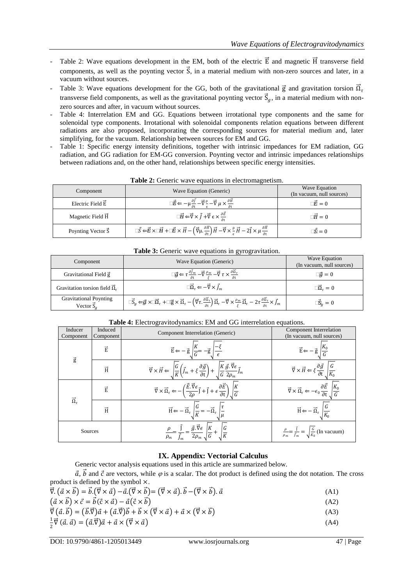- Table 2: Wave equations development in the EM, both of the electric  $\vec{E}$  and magnetic  $\vec{H}$  transverse field components, as well as the poynting vector  $\vec{S}$ , in a material medium with non-zero sources and later, in a vacuum without sources.
- Table 3: Wave equations development for the GG, both of the gravitational  $\vec{g}$  and gravitation torsion  $\vec{\Omega}_t$ transverse field components, as well as the gravitational poynting vector  $\vec{S}_g$ , in a material medium with nonzero sources and after, in vacuum without sources.
- Table 4: Interrelation EM and GG. Equations between irrotational type components and the same for solenoidal type components. Irrotational with solenoidal components relation equations between different radiations are also proposed, incorporating the corresponding sources for material medium and, later simplifying, for the vacuum. Relationship between sources for EM and GG.
- Table 1: Specific energy intensity definitions, together with intrinsic impedances for EM radiation, GG radiation, and GG radiation for EM-GG conversion. Poynting vector and intrinsic impedances relationships between radiations and, on the other hand, relationships between specific energy intensities.

| Component                 | Wave Equation (Generic)                                                                                                                                                                                                                                                                | Wave Equation<br>(In vacuum, null sources) |
|---------------------------|----------------------------------------------------------------------------------------------------------------------------------------------------------------------------------------------------------------------------------------------------------------------------------------|--------------------------------------------|
| Electric Field $\vec{E}$  | $\Box \vec{E} \Leftarrow -\mu \frac{\partial \vec{f}}{\partial t} - \vec{\nabla} \frac{\rho}{\epsilon} - \vec{\nabla} \mu \times \frac{\partial \vec{H}}{\partial t}$                                                                                                                  | $\Box \vec E = 0$                          |
| Magnetic Field H          | $\Box \vec{H} \Leftarrow \vec{\nabla} \times \vec{J} + \vec{\nabla} \in \times \frac{\partial \vec{E}}{\partial t}$                                                                                                                                                                    | $\Box \vec{H} = 0$                         |
| Poynting Vector $\vec{S}$ | $\Box \vec{S} \leftarrow \vec{E} \times \Box \vec{H} + \Box \vec{E} \times \vec{H} - \left( \vec{\nabla} \mu \cdot \frac{\partial \vec{H}}{\partial t} \right) \vec{H} - \vec{\nabla} \times \frac{\rho}{\epsilon} \vec{H} - 2 \vec{J} \times \mu \frac{\partial \vec{H}}{\partial t}$ | $\bar{\mathbf{S}} = 0$                     |

**Table 2:** Generic wave equations in electromagnetism.

| <b>Table 3:</b> Generic wave equations in gyrogravitation. |                                                                                                                                                                                                                                                                                                                                                                          |                                            |  |
|------------------------------------------------------------|--------------------------------------------------------------------------------------------------------------------------------------------------------------------------------------------------------------------------------------------------------------------------------------------------------------------------------------------------------------------------|--------------------------------------------|--|
| Component                                                  | Wave Equation (Generic)                                                                                                                                                                                                                                                                                                                                                  | Wave Equation<br>(In vacuum, null sources) |  |
| Gravitational Field g                                      | $\Box \vec{g} \Leftarrow \tau \frac{\partial \vec{f}_m}{\partial t} - \vec{\nabla} \frac{\rho_m}{\varepsilon} - \vec{\nabla} \tau \times \frac{\partial \vec{\Omega}_{\tau}}{\partial t}$                                                                                                                                                                                | $\Box \vec{a} = 0$                         |  |
| Gravitation torsion field $\overline{\Omega}_{\tau}$       | $\Box \vec{\Omega}_{\tau} \Leftarrow -\vec{\nabla} \times \vec{l}_m$                                                                                                                                                                                                                                                                                                     | $\Box \vec{\Omega}_{\tau} = 0$             |  |
| <b>Gravitational Poynting</b><br>Vector $\vec{S}_a$        | $\Box \vec{S}_g \Leftarrow \vec{g} \times \Box \vec{\Omega}_{\tau} + \Box \vec{g} \times \vec{\Omega}_{\tau} - \left( \vec{\nabla} \tau \cdot \frac{\partial \vec{\Omega}_{\tau}}{\partial t} \right) \vec{\Omega}_{\tau} - \vec{\nabla} \times \frac{\rho_m}{\varepsilon} \vec{\Omega}_{\tau} - 2\tau \frac{\partial \vec{\Omega}_{\tau}}{\partial t} \times \vec{f}_m$ | $\Box \vec{S}_q = 0$                       |  |

| Inducer<br>Component             | Induced<br>Component | Component Interrelation (Generic)                                                                                                                                                                                        | Component Interrelation<br>(In vacuum, null sources)                                                                     |
|----------------------------------|----------------------|--------------------------------------------------------------------------------------------------------------------------------------------------------------------------------------------------------------------------|--------------------------------------------------------------------------------------------------------------------------|
| $\vec{\mathrm{g}}$               | $\overrightarrow{E}$ | $\vec{E} \leftarrow -\vec{g} \sqrt{\frac{K}{G}} = -\vec{g} \sqrt{\frac{-\xi}{\epsilon}}$                                                                                                                                 | $\vec{E} \leftarrow -\vec{g}$                                                                                            |
|                                  | $\overrightarrow{H}$ | $\vec{\nabla}\times\vec{H} \Leftarrow \sqrt{\frac{G}{K}\left(\vec{J}_m+\xi\frac{\partial\vec{g}}{\partial t}\right)}+\sqrt{\frac{K}{G}\frac{\vec{g}.\vec{\nabla}\epsilon}{2\rho_m}\vec{J}_m}$                            | $\vec{\nabla} \times \vec{H} \Leftarrow \xi \frac{\partial \vec{g}}{\partial t}$                                         |
|                                  | $\overrightarrow{E}$ | $\vec{\nabla} \times \vec{\Omega}_\tau \leftarrow -\left(\frac{\vec{E} \cdot \vec{\nabla} \epsilon}{2\rho} \vec{\mathsf{J}} + \vec{\mathsf{J}} + \epsilon \frac{\partial \vec{E}}{\partial t}\right) \sqrt{\frac{K}{G}}$ | $\overline{\vec{\nabla}} \times \vec{\Omega}_\tau \leftarrow -\epsilon_0 \frac{\partial \vec{E}}{\partial t}$<br>$ K_0 $ |
| $\overrightarrow{\Omega}_{\tau}$ | $\vec{H}$            | $\vec{H} \leftarrow - \vec{\Omega}_{\tau} \left  \frac{G}{\nu} = -\vec{\Omega}_{\tau} \right $                                                                                                                           | G<br>$\vec{H} \leftarrow -\vec{\Omega}_{\tau}$                                                                           |
| Sources                          |                      | $\vec{g}.\vec{\nabla}\epsilon$                                                                                                                                                                                           | $\frac{\rho}{\rho_m} = \frac{\vec{J}}{\vec{J}_m} = \sqrt{\frac{G}{K_0}}$ (In vacuum)                                     |

# **Table 4:** Electrogravitodynamics: EM and GG interrelation equations.

# **IX. Appendix: Vectorial Calculus**

Generic vector analysis equations used in this article are summarized below.

 $\vec{a}$ ,  $\vec{b}$  and  $\vec{c}$  are vectors, while  $\varphi$  is a scalar. The dot product is defined using the dot notation. The cross product is defined by the symbol ×.

| $\vec{\nabla} \cdot (\vec{a} \times \vec{b}) = \vec{b} \cdot (\vec{\nabla} \times \vec{a}) - \vec{a} \cdot (\vec{\nabla} \times \vec{b}) = (\vec{\nabla} \times \vec{a}) \cdot \vec{b} - (\vec{\nabla} \times \vec{b}) \cdot \vec{a}$ | (A1) |
|---------------------------------------------------------------------------------------------------------------------------------------------------------------------------------------------------------------------------------------|------|
| $(\vec{a} \times \vec{b}) \times \vec{c} = \vec{b}(\vec{c} \times \vec{a}) - \vec{a}(\vec{c} \times \vec{b})$                                                                                                                         | (A2) |

$$
\vec{\nabla} \left( \vec{a} \cdot \vec{b} \right) = \left( \vec{b} \cdot \vec{\nabla} \right) \vec{a} + \left( \vec{a} \cdot \vec{\nabla} \right) \vec{b} + \vec{b} \times \left( \vec{\nabla} \times \vec{a} \right) + \vec{a} \times \left( \vec{\nabla} \times \vec{b} \right)
$$
\n(A3)

$$
\frac{1}{2}\vec{\nabla}(\vec{a},\vec{a}) = (\vec{a}.\vec{\nabla})\vec{a} + \vec{a} \times (\vec{\nabla} \times \vec{a})
$$
\n(A4)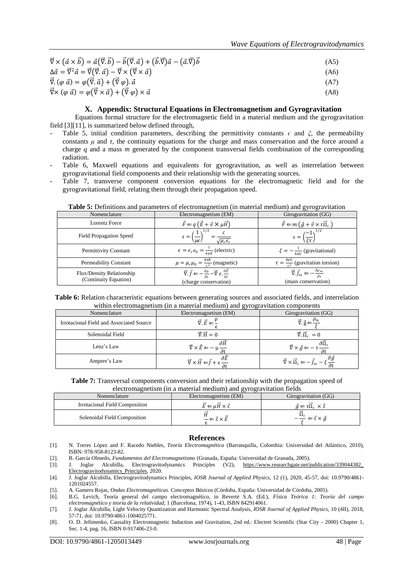| $\vec{\nabla} \times (\vec{a} \times \vec{b}) = \vec{a}(\vec{\nabla} \cdot \vec{b}) - \vec{b}(\vec{\nabla} \cdot \vec{a}) + (\vec{b} \cdot \vec{\nabla})\vec{a} - (\vec{a} \cdot \vec{\nabla})\vec{b}$ | (A5) |
|--------------------------------------------------------------------------------------------------------------------------------------------------------------------------------------------------------|------|
| $\Delta \vec{a} = \vec{\nabla}^2 \vec{a} = \vec{\nabla} (\vec{\nabla} \cdot \vec{a}) - \vec{\nabla} \times (\vec{\nabla} \times \vec{a})$                                                              | (A6) |
| $\vec{\nabla} \cdot (\varphi \, \vec{a}) = \varphi(\vec{\nabla} \cdot \vec{a}) + (\vec{\nabla} \varphi) \cdot \vec{a}$                                                                                 | (A7) |
| $\vec{\nabla} \times (\varphi \, \vec{a}) = \varphi (\vec{\nabla} \times \vec{a}) + (\vec{\nabla} \varphi) \times \vec{a}$                                                                             | (A8) |

#### **X. Appendix: Structural Equations in Electromagnetism and Gyrogravitation**

Equations formal structure for the electromagnetic field in a material medium and the gyrogravitation field [3][11], is summarized below defined through,

- Table 5, initial condition parameters, describing the permittivity constants *ϵ* and *ξ*, the permeability constants  $\mu$  and  $\tau$ , the continuity equations for the charge and mass conservation and the force around a charge *q* and a mass *m* generated by the component transversal fields combination of the corresponding radiation.
- Table 6, Maxwell equations and equivalents for gyrogravitation, as well as interrelation between gyrogravitational field components and their relationship with the generating sources.
- Table 7, transverse component conversion equations for the electromagnetic field and for the gyrogravitational field, relating them through their propagation speed.

| Nomenclature                                       | Electromagnetism (EM)                                                                                                                                      | Girogravitation (GG)                                                                                 |
|----------------------------------------------------|------------------------------------------------------------------------------------------------------------------------------------------------------------|------------------------------------------------------------------------------------------------------|
| Lorentz Force                                      | $\vec{F} \Leftarrow q (\vec{E} + \vec{v} \times \mu \vec{H})$                                                                                              | $\vec{F} \Leftarrow m \left( \vec{g} + \vec{v} \times \tau \vec{\Omega}_{\tau} \right)$              |
| <b>Field Propagation Speed</b>                     | $\frac{1}{\sqrt{\mu_r \epsilon_r}}$<br>$s = 1$<br>$\mu \epsilon$                                                                                           | $s = \left(\frac{-1}{\xi \tau}\right)^{s}$                                                           |
| <b>Permittivity Constant</b>                       | $\epsilon = \epsilon_r \epsilon_0 = \frac{1}{4\pi k}$ (electric)                                                                                           | $\xi = -\frac{1}{4\pi G}$ (gravitational)                                                            |
| Permeability Constant                              | $\mu = \mu_r \mu_0 = \frac{4\pi K}{s^2}$ (magnetic)                                                                                                        | $\tau = \frac{4\pi G}{r^2}$ (gravitation torsion)                                                    |
| Flux/Density Relationship<br>(Continuity Equation) | $\vec{\nabla}.\vec{j} \leftarrow -\frac{\partial \rho}{\partial t} - \vec{\nabla} \epsilon . \frac{\partial \vec{E}}{\partial t}$<br>(charge conservation) | $\vec{\nabla} \cdot \vec{J}_m \Leftarrow -\frac{\partial \rho_m}{\partial x}$<br>(mass conservation) |

**Table 5:** Definitions and parameters of electromagnetism (in material medium) and gyrogravitation

| Table 6: Relation characteristic equations between generating sources and associated fields, and interrelation |  |
|----------------------------------------------------------------------------------------------------------------|--|
| within electromagnetism (in a material medium) and gyrogravitation components                                  |  |

| -- 51-- 5-                               |                                                                                                                |                                                                                                                            |  |
|------------------------------------------|----------------------------------------------------------------------------------------------------------------|----------------------------------------------------------------------------------------------------------------------------|--|
| Nomenclature                             | Electromagnetism (EM)                                                                                          | Girogravitation (GG)                                                                                                       |  |
| Irrotacional Field and Associated Source | $\vec{\nabla} \cdot \vec{E} \Leftarrow \frac{P}{r}$                                                            | $\vec{\nabla} \cdot \vec{g}$ $\Leftarrow$                                                                                  |  |
| Solenoidal Field                         | $\vec{\nabla} \cdot \vec{H} = 0$                                                                               | $\vec{\nabla} \cdot \vec{\Omega}_{\tau} = 0$                                                                               |  |
| Lenz's Law                               | $\vec{\nabla} \times \vec{E} \Leftarrow$                                                                       | $\frac{\partial \Omega_{\tau}}{\partial \tau}$<br>$\vec{\nabla} \times \vec{g} \Leftarrow$                                 |  |
| Ampere's Law                             | $\vec{\nabla} \times \vec{H} \Leftarrow \vec{j} + \epsilon \frac{\overline{a} \cdot \overline{B}}{\partial t}$ | $\xi \frac{\partial g}{\partial t}$<br>$\vec{\nabla} \times \vec{\Omega}_{\tau} \leftarrow -\vec{J}_m - \vec{\varepsilon}$ |  |

**Table 7:** Transversal components conversion and their relationship with the propagation speed of electromagnetism (in a material medium) and gyrogravitation fields

| Nomenclature                          | Electromagnetism (EM)                         | Girogravitation (GG)                                      |
|---------------------------------------|-----------------------------------------------|-----------------------------------------------------------|
| <b>Irrotacional Field Composition</b> | $\vec{E} \Leftarrow u \vec{H} \times \vec{s}$ | $\vec{\tau} \leftarrow \tau \Omega_{\tau} \times \vec{S}$ |
| Solenoidal Field Composition          | $-\Leftarrow \vec{s} \times \vec{E}$          | አራ<br>$-\div \in \vec{s} \times \vec{q}$                  |

#### **References**

- [1]. N. Torres López and F. Racedo Niebles, *Teoría Electromagnética* (Barranquilla, Colombia: Universidad del Atlántico, 2010), ISBN: 978-958-8123-82.
- [2]. B. García Olmedo, *Fundamentos del Electromagnetismo* (Granada, España: Universidad de Granada, 2005).
- [3]. J. Joglar Alcubilla, Electrogravitodynamics Principles (V2), [https://www.researchgate.net/publication/339044382\\_](https://www.researchgate.net/publication/339044382_%20Electrogravitodynamics_Principles)  [Electrogravitodynamics\\_Principles,](https://www.researchgate.net/publication/339044382_%20Electrogravitodynamics_Principles) 2020.
- [4]. J. Joglar Alcubilla, Electrogravitodynamics Principles, *IOSR Journal of Applied Physics*, 12 (1), 2020, 45-57, doi: 10.9790/4861- 1201024557.
- [5]. A. Gamero Rojas, *Ondas Electromagnéticas. Conceptos Básicos* (Córdoba, España: Universidad de Córdoba, 2005).

[6]. B.G. Levich*,* Teoría general del campo electromagnético, in Reverté S.A. (Ed.), *Física Teórica 1: Teoría del campo electromagnético y teoría de la relatividad,* 1 (Barcelona, 1974), 1-43, ISBN 842914061.

[7]. J. Joglar Alcubilla, Light Velocity Quantization and Harmonic Spectral Analysis, *IOSR Journal of Applied Physics*, 10 (4II), 2018, 57-71, doi: 10.9790/4861-1004025771.

[8]. O. D. Jefimenko, Causality Electromagnetic Induction and Gravitation, 2nd ed.: Electret Scientific (Star City - 2000) Chapter 1, Sec. 1-4, pag. 16, ISBN 0-917406-23-0.